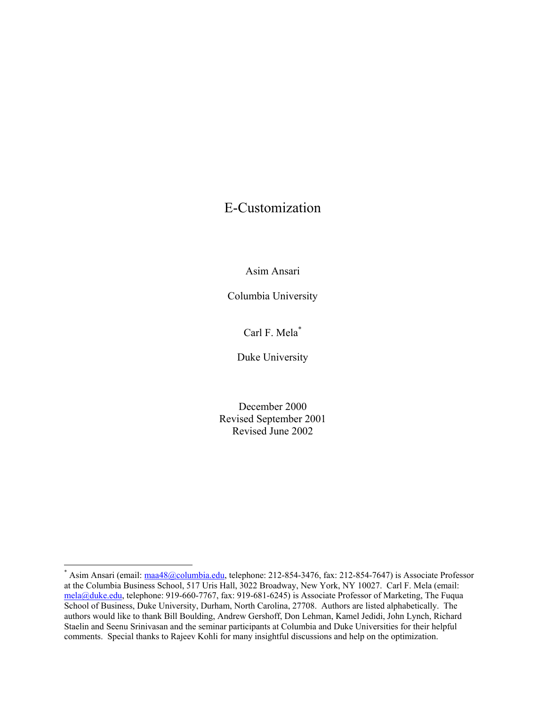## E-Customization

Asim Ansari

Columbia University

Carl F. Mela\*

Duke University

December 2000 Revised September 2001 Revised June 2002

<sup>\*</sup> Asim Ansari (email: maa48@columbia.edu, telephone: 212-854-3476, fax: 212-854-7647) is Associate Professor at the Columbia Business School, 517 Uris Hall, 3022 Broadway, New York, NY 10027. Carl F. Mela (email: mela@duke.edu, telephone: 919-660-7767, fax: 919-681-6245) is Associate Professor of Marketing, The Fuqua School of Business, Duke University, Durham, North Carolina, 27708. Authors are listed alphabetically. The authors would like to thank Bill Boulding, Andrew Gershoff, Don Lehman, Kamel Jedidi, John Lynch, Richard Staelin and Seenu Srinivasan and the seminar participants at Columbia and Duke Universities for their helpful comments. Special thanks to Rajeev Kohli for many insightful discussions and help on the optimization.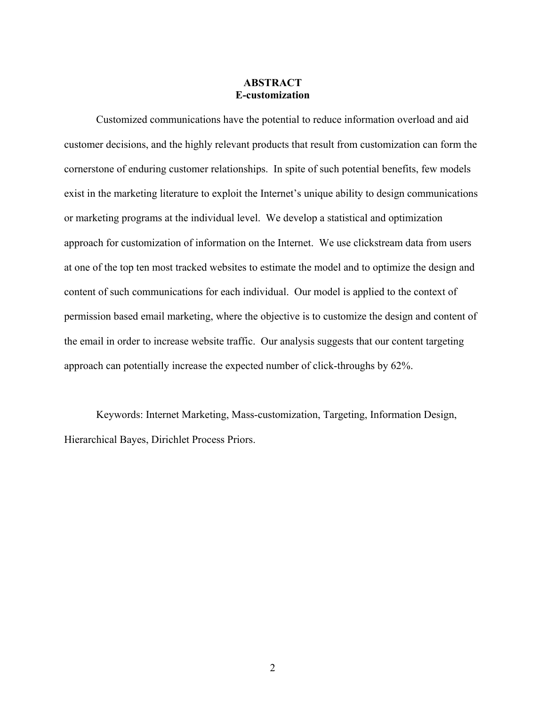## **ABSTRACT E-customization**

 Customized communications have the potential to reduce information overload and aid customer decisions, and the highly relevant products that result from customization can form the cornerstone of enduring customer relationships. In spite of such potential benefits, few models exist in the marketing literature to exploit the Internet's unique ability to design communications or marketing programs at the individual level. We develop a statistical and optimization approach for customization of information on the Internet. We use clickstream data from users at one of the top ten most tracked websites to estimate the model and to optimize the design and content of such communications for each individual. Our model is applied to the context of permission based email marketing, where the objective is to customize the design and content of the email in order to increase website traffic. Our analysis suggests that our content targeting approach can potentially increase the expected number of click-throughs by 62%.

 Keywords: Internet Marketing, Mass-customization, Targeting, Information Design, Hierarchical Bayes, Dirichlet Process Priors.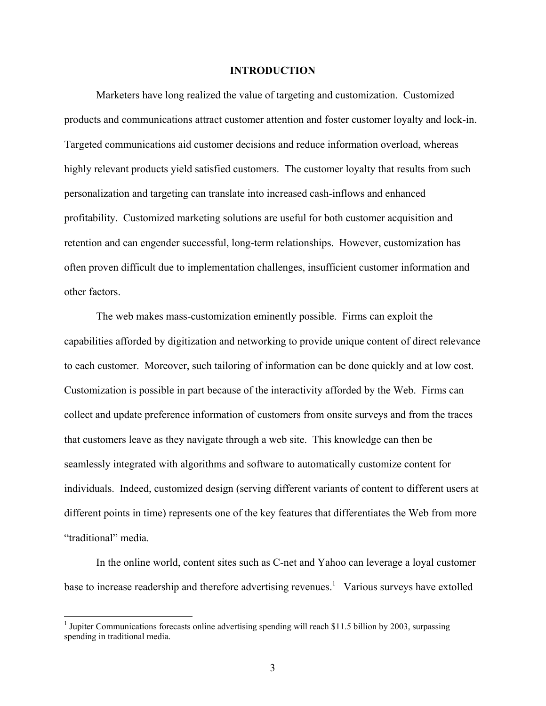#### **INTRODUCTION**

Marketers have long realized the value of targeting and customization. Customized products and communications attract customer attention and foster customer loyalty and lock-in. Targeted communications aid customer decisions and reduce information overload, whereas highly relevant products yield satisfied customers. The customer loyalty that results from such personalization and targeting can translate into increased cash-inflows and enhanced profitability. Customized marketing solutions are useful for both customer acquisition and retention and can engender successful, long-term relationships. However, customization has often proven difficult due to implementation challenges, insufficient customer information and other factors.

 The web makes mass-customization eminently possible. Firms can exploit the capabilities afforded by digitization and networking to provide unique content of direct relevance to each customer. Moreover, such tailoring of information can be done quickly and at low cost. Customization is possible in part because of the interactivity afforded by the Web. Firms can collect and update preference information of customers from onsite surveys and from the traces that customers leave as they navigate through a web site. This knowledge can then be seamlessly integrated with algorithms and software to automatically customize content for individuals. Indeed, customized design (serving different variants of content to different users at different points in time) represents one of the key features that differentiates the Web from more "traditional" media.

 In the online world, content sites such as C-net and Yahoo can leverage a loyal customer base to increase readership and therefore advertising revenues.<sup>1</sup> Various surveys have extolled

<sup>&</sup>lt;sup>1</sup> Jupiter Communications forecasts online advertising spending will reach \$11.5 billion by 2003, surpassing spending in traditional media.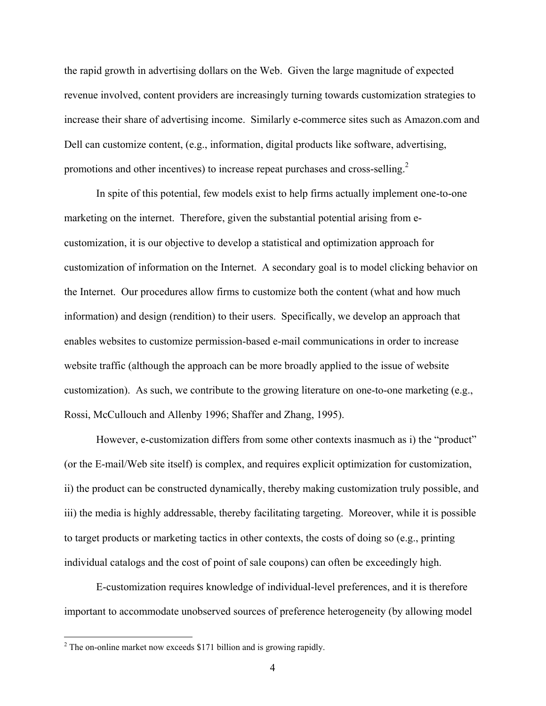the rapid growth in advertising dollars on the Web. Given the large magnitude of expected revenue involved, content providers are increasingly turning towards customization strategies to increase their share of advertising income. Similarly e-commerce sites such as Amazon.com and Dell can customize content, (e.g., information, digital products like software, advertising, promotions and other incentives) to increase repeat purchases and cross-selling.<sup>2</sup>

 In spite of this potential, few models exist to help firms actually implement one-to-one marketing on the internet. Therefore, given the substantial potential arising from ecustomization, it is our objective to develop a statistical and optimization approach for customization of information on the Internet. A secondary goal is to model clicking behavior on the Internet. Our procedures allow firms to customize both the content (what and how much information) and design (rendition) to their users. Specifically, we develop an approach that enables websites to customize permission-based e-mail communications in order to increase website traffic (although the approach can be more broadly applied to the issue of website customization). As such, we contribute to the growing literature on one-to-one marketing (e.g., Rossi, McCullouch and Allenby 1996; Shaffer and Zhang, 1995).

 However, e-customization differs from some other contexts inasmuch as i) the "product" (or the E-mail/Web site itself) is complex, and requires explicit optimization for customization, ii) the product can be constructed dynamically, thereby making customization truly possible, and iii) the media is highly addressable, thereby facilitating targeting. Moreover, while it is possible to target products or marketing tactics in other contexts, the costs of doing so (e.g., printing individual catalogs and the cost of point of sale coupons) can often be exceedingly high.

 E-customization requires knowledge of individual-level preferences, and it is therefore important to accommodate unobserved sources of preference heterogeneity (by allowing model

<u>.</u>

 $2^2$  The on-online market now exceeds \$171 billion and is growing rapidly.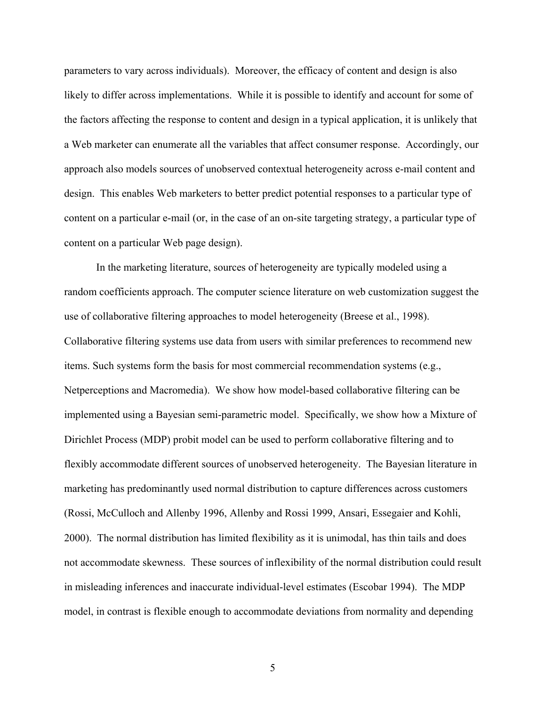parameters to vary across individuals). Moreover, the efficacy of content and design is also likely to differ across implementations. While it is possible to identify and account for some of the factors affecting the response to content and design in a typical application, it is unlikely that a Web marketer can enumerate all the variables that affect consumer response. Accordingly, our approach also models sources of unobserved contextual heterogeneity across e-mail content and design. This enables Web marketers to better predict potential responses to a particular type of content on a particular e-mail (or, in the case of an on-site targeting strategy, a particular type of content on a particular Web page design).

 In the marketing literature, sources of heterogeneity are typically modeled using a random coefficients approach. The computer science literature on web customization suggest the use of collaborative filtering approaches to model heterogeneity (Breese et al., 1998). Collaborative filtering systems use data from users with similar preferences to recommend new items. Such systems form the basis for most commercial recommendation systems (e.g., Netperceptions and Macromedia). We show how model-based collaborative filtering can be implemented using a Bayesian semi-parametric model. Specifically, we show how a Mixture of Dirichlet Process (MDP) probit model can be used to perform collaborative filtering and to flexibly accommodate different sources of unobserved heterogeneity. The Bayesian literature in marketing has predominantly used normal distribution to capture differences across customers (Rossi, McCulloch and Allenby 1996, Allenby and Rossi 1999, Ansari, Essegaier and Kohli, 2000). The normal distribution has limited flexibility as it is unimodal, has thin tails and does not accommodate skewness. These sources of inflexibility of the normal distribution could result in misleading inferences and inaccurate individual-level estimates (Escobar 1994). The MDP model, in contrast is flexible enough to accommodate deviations from normality and depending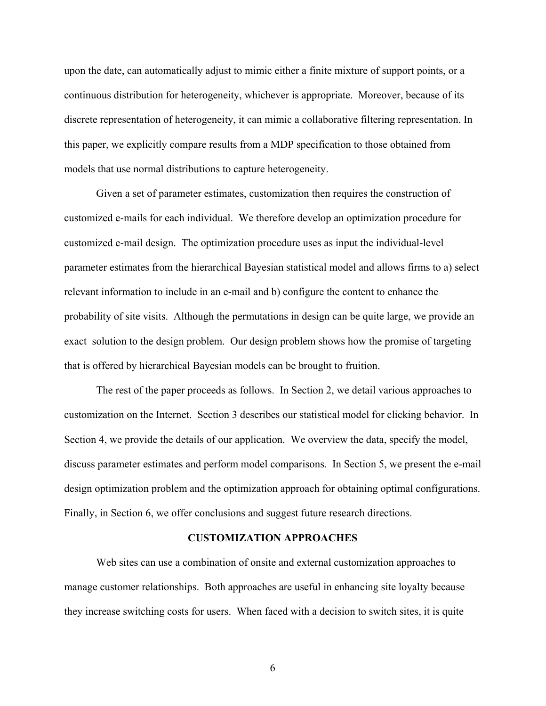upon the date, can automatically adjust to mimic either a finite mixture of support points, or a continuous distribution for heterogeneity, whichever is appropriate. Moreover, because of its discrete representation of heterogeneity, it can mimic a collaborative filtering representation. In this paper, we explicitly compare results from a MDP specification to those obtained from models that use normal distributions to capture heterogeneity.

 Given a set of parameter estimates, customization then requires the construction of customized e-mails for each individual. We therefore develop an optimization procedure for customized e-mail design. The optimization procedure uses as input the individual-level parameter estimates from the hierarchical Bayesian statistical model and allows firms to a) select relevant information to include in an e-mail and b) configure the content to enhance the probability of site visits. Although the permutations in design can be quite large, we provide an exact solution to the design problem. Our design problem shows how the promise of targeting that is offered by hierarchical Bayesian models can be brought to fruition.

 The rest of the paper proceeds as follows. In Section 2, we detail various approaches to customization on the Internet. Section 3 describes our statistical model for clicking behavior. In Section 4, we provide the details of our application. We overview the data, specify the model, discuss parameter estimates and perform model comparisons. In Section 5, we present the e-mail design optimization problem and the optimization approach for obtaining optimal configurations. Finally, in Section 6, we offer conclusions and suggest future research directions.

#### **CUSTOMIZATION APPROACHES**

Web sites can use a combination of onsite and external customization approaches to manage customer relationships. Both approaches are useful in enhancing site loyalty because they increase switching costs for users. When faced with a decision to switch sites, it is quite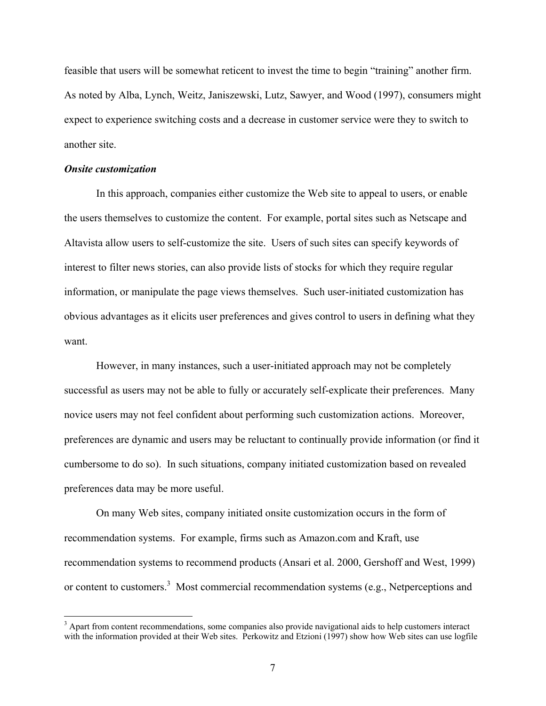feasible that users will be somewhat reticent to invest the time to begin "training" another firm. As noted by Alba, Lynch, Weitz, Janiszewski, Lutz, Sawyer, and Wood (1997), consumers might expect to experience switching costs and a decrease in customer service were they to switch to another site.

#### *Onsite customization*

In this approach, companies either customize the Web site to appeal to users, or enable the users themselves to customize the content. For example, portal sites such as Netscape and Altavista allow users to self-customize the site. Users of such sites can specify keywords of interest to filter news stories, can also provide lists of stocks for which they require regular information, or manipulate the page views themselves. Such user-initiated customization has obvious advantages as it elicits user preferences and gives control to users in defining what they want.

 However, in many instances, such a user-initiated approach may not be completely successful as users may not be able to fully or accurately self-explicate their preferences. Many novice users may not feel confident about performing such customization actions. Moreover, preferences are dynamic and users may be reluctant to continually provide information (or find it cumbersome to do so). In such situations, company initiated customization based on revealed preferences data may be more useful.

 On many Web sites, company initiated onsite customization occurs in the form of recommendation systems. For example, firms such as Amazon.com and Kraft, use recommendation systems to recommend products (Ansari et al. 2000, Gershoff and West, 1999) or content to customers.<sup>3</sup> Most commercial recommendation systems (e.g., Netperceptions and

<sup>&</sup>lt;sup>3</sup> Apart from content recommendations, some companies also provide navigational aids to help customers interact with the information provided at their Web sites. Perkowitz and Etzioni (1997) show how Web sites can use logfile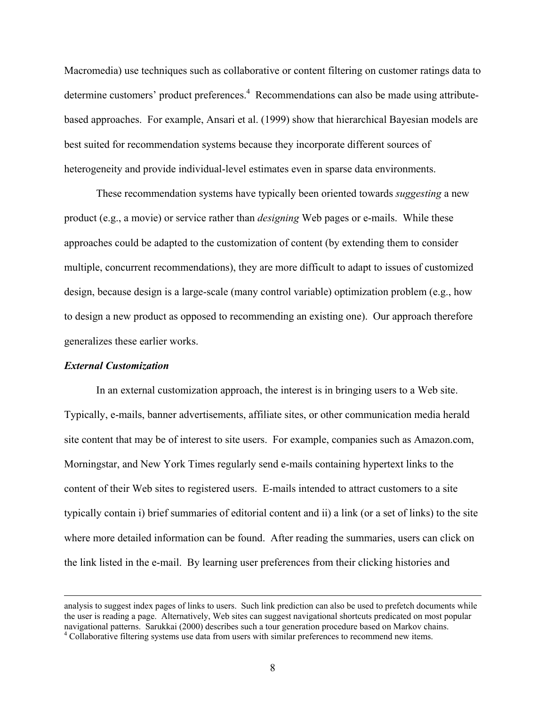Macromedia) use techniques such as collaborative or content filtering on customer ratings data to determine customers' product preferences.<sup>4</sup> Recommendations can also be made using attributebased approaches. For example, Ansari et al. (1999) show that hierarchical Bayesian models are best suited for recommendation systems because they incorporate different sources of heterogeneity and provide individual-level estimates even in sparse data environments.

 These recommendation systems have typically been oriented towards *suggesting* a new product (e.g., a movie) or service rather than *designing* Web pages or e-mails. While these approaches could be adapted to the customization of content (by extending them to consider multiple, concurrent recommendations), they are more difficult to adapt to issues of customized design, because design is a large-scale (many control variable) optimization problem (e.g., how to design a new product as opposed to recommending an existing one). Our approach therefore generalizes these earlier works.

#### *External Customization*

In an external customization approach, the interest is in bringing users to a Web site. Typically, e-mails, banner advertisements, affiliate sites, or other communication media herald site content that may be of interest to site users. For example, companies such as Amazon.com, Morningstar, and New York Times regularly send e-mails containing hypertext links to the content of their Web sites to registered users. E-mails intended to attract customers to a site typically contain i) brief summaries of editorial content and ii) a link (or a set of links) to the site where more detailed information can be found. After reading the summaries, users can click on the link listed in the e-mail. By learning user preferences from their clicking histories and

analysis to suggest index pages of links to users. Such link prediction can also be used to prefetch documents while the user is reading a page. Alternatively, Web sites can suggest navigational shortcuts predicated on most popular navigational patterns. Sarukkai (2000) describes such a tour generation procedure based on Markov chains.

<sup>&</sup>lt;sup>4</sup> Collaborative filtering systems use data from users with similar preferences to recommend new items.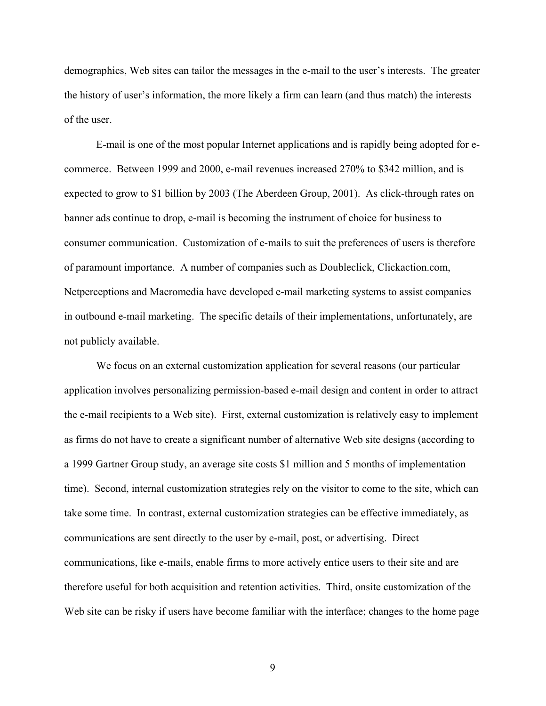demographics, Web sites can tailor the messages in the e-mail to the user's interests. The greater the history of user's information, the more likely a firm can learn (and thus match) the interests of the user.

 E-mail is one of the most popular Internet applications and is rapidly being adopted for ecommerce. Between 1999 and 2000, e-mail revenues increased 270% to \$342 million, and is expected to grow to \$1 billion by 2003 (The Aberdeen Group, 2001). As click-through rates on banner ads continue to drop, e-mail is becoming the instrument of choice for business to consumer communication. Customization of e-mails to suit the preferences of users is therefore of paramount importance. A number of companies such as Doubleclick, Clickaction.com, Netperceptions and Macromedia have developed e-mail marketing systems to assist companies in outbound e-mail marketing. The specific details of their implementations, unfortunately, are not publicly available.

 We focus on an external customization application for several reasons (our particular application involves personalizing permission-based e-mail design and content in order to attract the e-mail recipients to a Web site). First, external customization is relatively easy to implement as firms do not have to create a significant number of alternative Web site designs (according to a 1999 Gartner Group study, an average site costs \$1 million and 5 months of implementation time). Second, internal customization strategies rely on the visitor to come to the site, which can take some time. In contrast, external customization strategies can be effective immediately, as communications are sent directly to the user by e-mail, post, or advertising. Direct communications, like e-mails, enable firms to more actively entice users to their site and are therefore useful for both acquisition and retention activities. Third, onsite customization of the Web site can be risky if users have become familiar with the interface; changes to the home page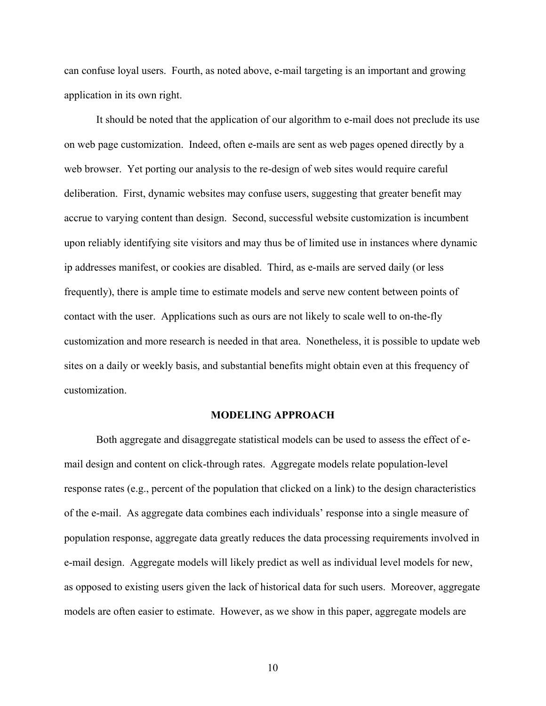can confuse loyal users. Fourth, as noted above, e-mail targeting is an important and growing application in its own right.

 It should be noted that the application of our algorithm to e-mail does not preclude its use on web page customization. Indeed, often e-mails are sent as web pages opened directly by a web browser. Yet porting our analysis to the re-design of web sites would require careful deliberation. First, dynamic websites may confuse users, suggesting that greater benefit may accrue to varying content than design. Second, successful website customization is incumbent upon reliably identifying site visitors and may thus be of limited use in instances where dynamic ip addresses manifest, or cookies are disabled. Third, as e-mails are served daily (or less frequently), there is ample time to estimate models and serve new content between points of contact with the user. Applications such as ours are not likely to scale well to on-the-fly customization and more research is needed in that area. Nonetheless, it is possible to update web sites on a daily or weekly basis, and substantial benefits might obtain even at this frequency of customization.

#### **MODELING APPROACH**

Both aggregate and disaggregate statistical models can be used to assess the effect of email design and content on click-through rates. Aggregate models relate population-level response rates (e.g., percent of the population that clicked on a link) to the design characteristics of the e-mail. As aggregate data combines each individuals' response into a single measure of population response, aggregate data greatly reduces the data processing requirements involved in e-mail design. Aggregate models will likely predict as well as individual level models for new, as opposed to existing users given the lack of historical data for such users. Moreover, aggregate models are often easier to estimate. However, as we show in this paper, aggregate models are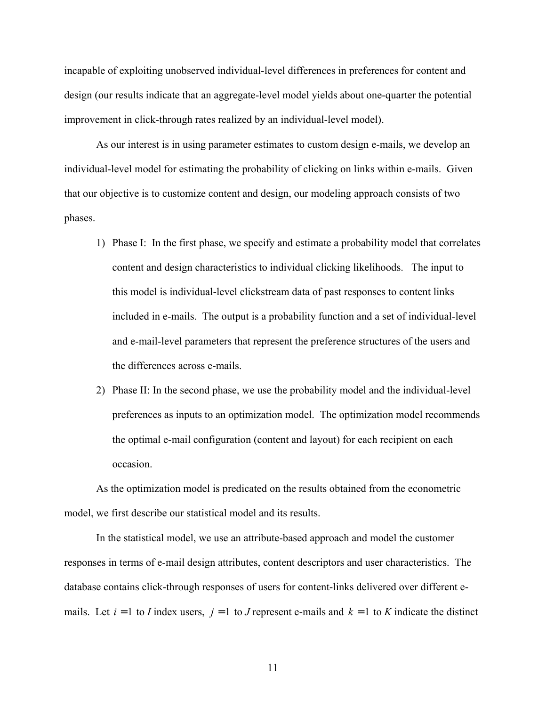incapable of exploiting unobserved individual-level differences in preferences for content and design (our results indicate that an aggregate-level model yields about one-quarter the potential improvement in click-through rates realized by an individual-level model).

 As our interest is in using parameter estimates to custom design e-mails, we develop an individual-level model for estimating the probability of clicking on links within e-mails. Given that our objective is to customize content and design, our modeling approach consists of two phases.

- 1) Phase I: In the first phase, we specify and estimate a probability model that correlates content and design characteristics to individual clicking likelihoods. The input to this model is individual-level clickstream data of past responses to content links included in e-mails. The output is a probability function and a set of individual-level and e-mail-level parameters that represent the preference structures of the users and the differences across e-mails.
- 2) Phase II: In the second phase, we use the probability model and the individual-level preferences as inputs to an optimization model. The optimization model recommends the optimal e-mail configuration (content and layout) for each recipient on each occasion.

As the optimization model is predicated on the results obtained from the econometric model, we first describe our statistical model and its results.

 In the statistical model, we use an attribute-based approach and model the customer responses in terms of e-mail design attributes, content descriptors and user characteristics. The database contains click-through responses of users for content-links delivered over different emails. Let  $i = 1$  to *I* index users,  $j = 1$  to *J* represent e-mails and  $k = 1$  to *K* indicate the distinct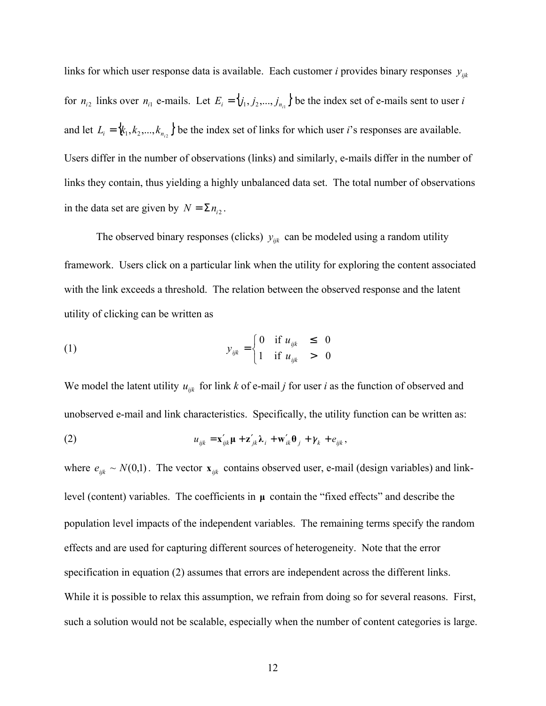links for which user response data is available. Each customer *i* provides binary responses  $y_{ijk}$ for  $n_{i2}$  links over  $n_{i1}$  e-mails. Let  $E_i = \{j_1, j_2, ..., j_{n_{i1}}\}$  be the index set of e-mails sent to user *i* and let  $L_i = \{k_1, k_2, ..., k_{n_i}\}\$  be the index set of links for which user *i*'s responses are available. Users differ in the number of observations (links) and similarly, e-mails differ in the number of links they contain, thus yielding a highly unbalanced data set. The total number of observations in the data set are given by  $N = \sum n_{i2}$ .

The observed binary responses (clicks)  $y_{ijk}$  can be modeled using a random utility framework. Users click on a particular link when the utility for exploring the content associated with the link exceeds a threshold. The relation between the observed response and the latent utility of clicking can be written as

(1) 
$$
y_{ijk} = \begin{cases} 0 & \text{if } u_{ijk} \leq 0 \\ 1 & \text{if } u_{ijk} > 0 \end{cases}
$$

We model the latent utility  $u_{ijk}$  for link *k* of e-mail *j* for user *i* as the function of observed and unobserved e-mail and link characteristics. Specifically, the utility function can be written as:

(2) 
$$
u_{ijk} = \mathbf{x}'_{ijk} \mathbf{\mu} + \mathbf{z}'_{jk} \mathbf{\lambda}_i + \mathbf{w}'_{ik} \mathbf{\theta}_j + \gamma_k + e_{ijk},
$$

where  $e_{ijk} \sim N(0,1)$ . The vector  $\mathbf{x}_{ijk}$  contains observed user, e-mail (design variables) and linklevel (content) variables. The coefficients in **µ** contain the "fixed effects" and describe the population level impacts of the independent variables. The remaining terms specify the random effects and are used for capturing different sources of heterogeneity. Note that the error specification in equation (2) assumes that errors are independent across the different links. While it is possible to relax this assumption, we refrain from doing so for several reasons. First, such a solution would not be scalable, especially when the number of content categories is large.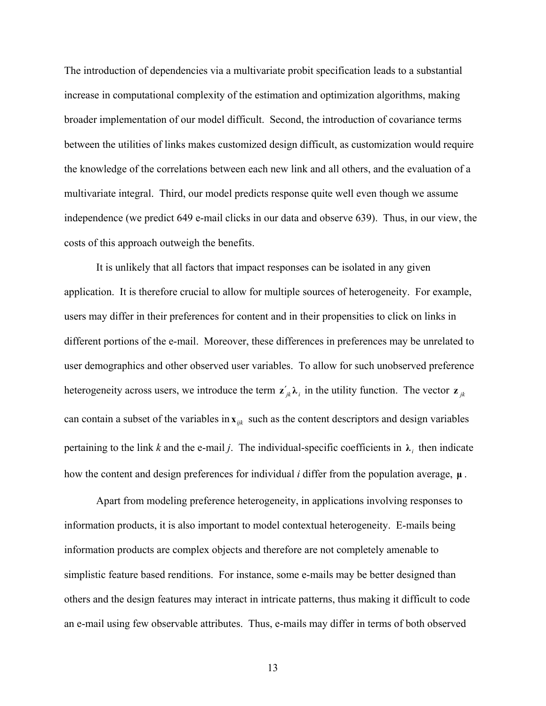The introduction of dependencies via a multivariate probit specification leads to a substantial increase in computational complexity of the estimation and optimization algorithms, making broader implementation of our model difficult. Second, the introduction of covariance terms between the utilities of links makes customized design difficult, as customization would require the knowledge of the correlations between each new link and all others, and the evaluation of a multivariate integral. Third, our model predicts response quite well even though we assume independence (we predict 649 e-mail clicks in our data and observe 639). Thus, in our view, the costs of this approach outweigh the benefits.

 It is unlikely that all factors that impact responses can be isolated in any given application. It is therefore crucial to allow for multiple sources of heterogeneity. For example, users may differ in their preferences for content and in their propensities to click on links in different portions of the e-mail. Moreover, these differences in preferences may be unrelated to user demographics and other observed user variables. To allow for such unobserved preference heterogeneity across users, we introduce the term  $\mathbf{z}'_{jk} \lambda_i$  in the utility function. The vector  $\mathbf{z}_{jk}$ can contain a subset of the variables in  $\mathbf{x}_{ijk}$  such as the content descriptors and design variables pertaining to the link *k* and the e-mail *j*. The individual-specific coefficients in  $\lambda_i$  then indicate how the content and design preferences for individual *i* differ from the population average, **µ** .

 Apart from modeling preference heterogeneity, in applications involving responses to information products, it is also important to model contextual heterogeneity. E-mails being information products are complex objects and therefore are not completely amenable to simplistic feature based renditions. For instance, some e-mails may be better designed than others and the design features may interact in intricate patterns, thus making it difficult to code an e-mail using few observable attributes. Thus, e-mails may differ in terms of both observed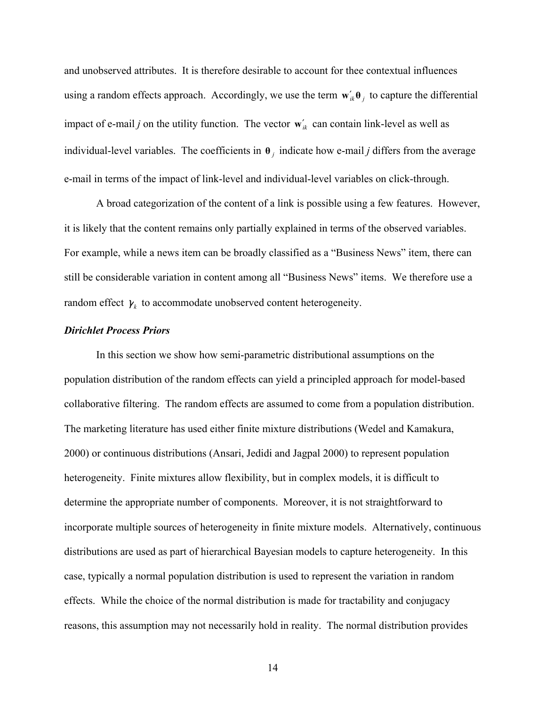and unobserved attributes. It is therefore desirable to account for thee contextual influences using a random effects approach. Accordingly, we use the term  $\mathbf{w}'_{ik} \mathbf{\theta}_i$  to capture the differential impact of e-mail *j* on the utility function. The vector  $\mathbf{w}'_{ik}$  can contain link-level as well as individual-level variables. The coefficients in  $\theta_i$  indicate how e-mail *j* differs from the average e-mail in terms of the impact of link-level and individual-level variables on click-through.

 A broad categorization of the content of a link is possible using a few features. However, it is likely that the content remains only partially explained in terms of the observed variables. For example, while a news item can be broadly classified as a "Business News" item, there can still be considerable variation in content among all "Business News" items. We therefore use a random effect  $\gamma_k$  to accommodate unobserved content heterogeneity.

## *Dirichlet Process Priors*

In this section we show how semi-parametric distributional assumptions on the population distribution of the random effects can yield a principled approach for model-based collaborative filtering. The random effects are assumed to come from a population distribution. The marketing literature has used either finite mixture distributions (Wedel and Kamakura, 2000) or continuous distributions (Ansari, Jedidi and Jagpal 2000) to represent population heterogeneity. Finite mixtures allow flexibility, but in complex models, it is difficult to determine the appropriate number of components. Moreover, it is not straightforward to incorporate multiple sources of heterogeneity in finite mixture models. Alternatively, continuous distributions are used as part of hierarchical Bayesian models to capture heterogeneity. In this case, typically a normal population distribution is used to represent the variation in random effects. While the choice of the normal distribution is made for tractability and conjugacy reasons, this assumption may not necessarily hold in reality. The normal distribution provides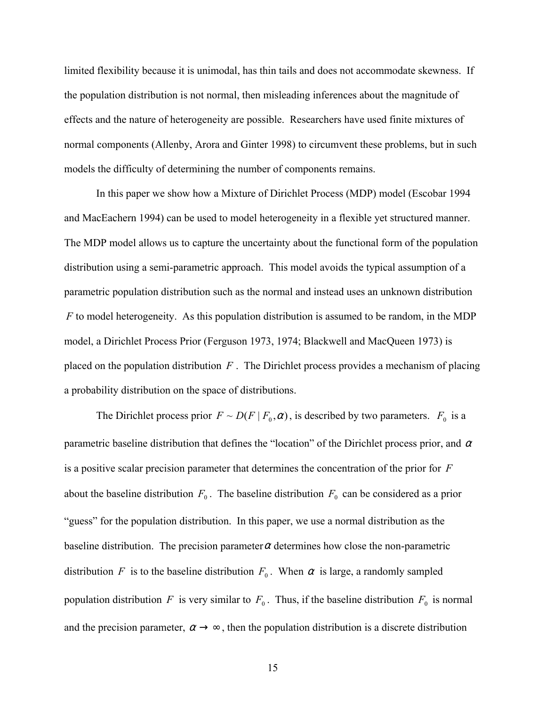limited flexibility because it is unimodal, has thin tails and does not accommodate skewness. If the population distribution is not normal, then misleading inferences about the magnitude of effects and the nature of heterogeneity are possible. Researchers have used finite mixtures of normal components (Allenby, Arora and Ginter 1998) to circumvent these problems, but in such models the difficulty of determining the number of components remains.

 In this paper we show how a Mixture of Dirichlet Process (MDP) model (Escobar 1994 and MacEachern 1994) can be used to model heterogeneity in a flexible yet structured manner. The MDP model allows us to capture the uncertainty about the functional form of the population distribution using a semi-parametric approach. This model avoids the typical assumption of a parametric population distribution such as the normal and instead uses an unknown distribution *F* to model heterogeneity. As this population distribution is assumed to be random, in the MDP model, a Dirichlet Process Prior (Ferguson 1973, 1974; Blackwell and MacQueen 1973) is placed on the population distribution *F* . The Dirichlet process provides a mechanism of placing a probability distribution on the space of distributions.

The Dirichlet process prior  $F \sim D(F | F_0, \alpha)$ , is described by two parameters.  $F_0$  is a parametric baseline distribution that defines the "location" of the Dirichlet process prior, and  $\alpha$ is a positive scalar precision parameter that determines the concentration of the prior for *F* about the baseline distribution  $F_0$ . The baseline distribution  $F_0$  can be considered as a prior "guess" for the population distribution. In this paper, we use a normal distribution as the baseline distribution. The precision parameter  $\alpha$  determines how close the non-parametric distribution *F* is to the baseline distribution  $F_0$ . When  $\alpha$  is large, a randomly sampled population distribution *F* is very similar to  $F_0$ . Thus, if the baseline distribution  $F_0$  is normal and the precision parameter,  $\alpha \rightarrow \infty$ , then the population distribution is a discrete distribution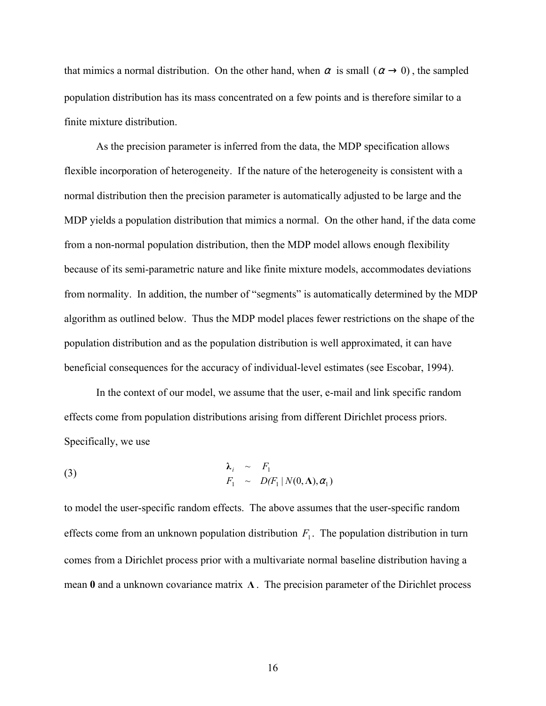that mimics a normal distribution. On the other hand, when  $\alpha$  is small  $(\alpha \rightarrow 0)$ , the sampled population distribution has its mass concentrated on a few points and is therefore similar to a finite mixture distribution.

 As the precision parameter is inferred from the data, the MDP specification allows flexible incorporation of heterogeneity. If the nature of the heterogeneity is consistent with a normal distribution then the precision parameter is automatically adjusted to be large and the MDP yields a population distribution that mimics a normal. On the other hand, if the data come from a non-normal population distribution, then the MDP model allows enough flexibility because of its semi-parametric nature and like finite mixture models, accommodates deviations from normality. In addition, the number of "segments" is automatically determined by the MDP algorithm as outlined below. Thus the MDP model places fewer restrictions on the shape of the population distribution and as the population distribution is well approximated, it can have beneficial consequences for the accuracy of individual-level estimates (see Escobar, 1994).

 In the context of our model, we assume that the user, e-mail and link specific random effects come from population distributions arising from different Dirichlet process priors. Specifically, we use

(3) 
$$
\begin{aligned}\n\lambda_i & \sim F_1 \\
F_1 & \sim D(F_1 \mid N(0, \Lambda), \alpha_1)\n\end{aligned}
$$

to model the user-specific random effects. The above assumes that the user-specific random effects come from an unknown population distribution  $F_1$ . The population distribution in turn comes from a Dirichlet process prior with a multivariate normal baseline distribution having a mean **0** and a unknown covariance matrix **Λ** . The precision parameter of the Dirichlet process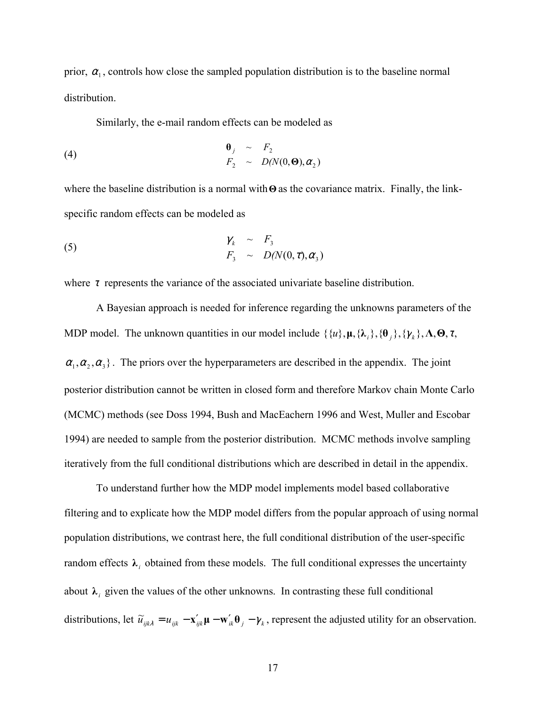prior,  $\alpha_1$ , controls how close the sampled population distribution is to the baseline normal distribution.

Similarly, the e-mail random effects can be modeled as

(4) 
$$
\begin{array}{rcl}\n\mathbf{\Theta}_j & \sim & F_2 \\
F_2 & \sim & D(N(\mathbf{0}, \mathbf{\Theta}), \alpha_2)\n\end{array}
$$

where the baseline distribution is a normal with**Θ** as the covariance matrix. Finally, the linkspecific random effects can be modeled as

(5) 
$$
\gamma_k \sim F_3
$$

$$
F_3 \sim D(N(0,\tau),\alpha_3)
$$

where  $\tau$  represents the variance of the associated univariate baseline distribution.

 A Bayesian approach is needed for inference regarding the unknowns parameters of the MDP model. The unknown quantities in our model include  $\{\{u\}, \mu, \{\lambda_i\}, \{\theta_i\}, \{\gamma_k\}, \Lambda, \Theta, \tau, \phi\}$  $\{\alpha_1, \alpha_2, \alpha_3\}$ . The priors over the hyperparameters are described in the appendix. The joint posterior distribution cannot be written in closed form and therefore Markov chain Monte Carlo (MCMC) methods (see Doss 1994, Bush and MacEachern 1996 and West, Muller and Escobar 1994) are needed to sample from the posterior distribution. MCMC methods involve sampling iteratively from the full conditional distributions which are described in detail in the appendix.

 To understand further how the MDP model implements model based collaborative filtering and to explicate how the MDP model differs from the popular approach of using normal population distributions, we contrast here, the full conditional distribution of the user-specific random effects  $\lambda_i$  obtained from these models. The full conditional expresses the uncertainty about  $\lambda_i$  given the values of the other unknowns. In contrasting these full conditional distributions, let  $\tilde{u}_{ijk\lambda} = u_{ijk} - \mathbf{x}'_{ijk} \mathbf{\mu} - \mathbf{w}'_{ik} \mathbf{\theta}_j - \gamma_k$ , represent the adjusted utility for an observation.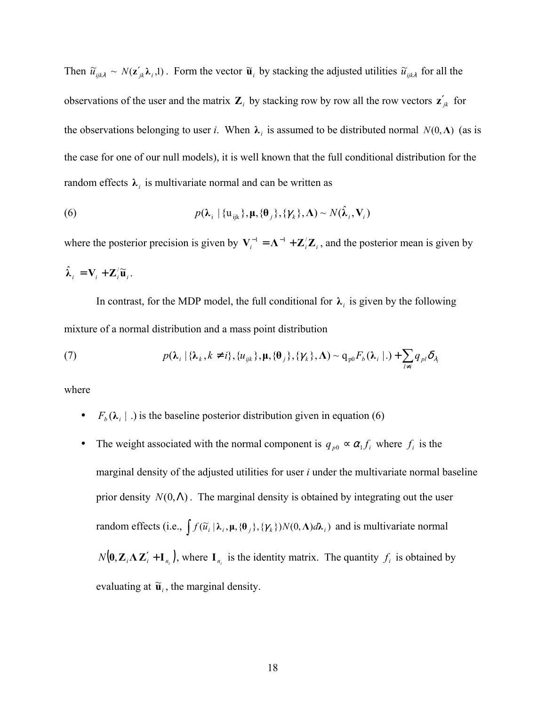Then  $\tilde{u}_{ijk\lambda} \sim N(\mathbf{z}_{jk}' \lambda_i, 1)$ . Form the vector  $\tilde{\mathbf{u}}_i$  by stacking the adjusted utilities  $\tilde{u}_{ijk\lambda}$  for all the observations of the user and the matrix  $\mathbf{Z}_i$  by stacking row by row all the row vectors  $\mathbf{z}'_{jk}$  for the observations belonging to user *i*. When  $\lambda_i$  is assumed to be distributed normal  $N(0, \Lambda)$  (as is the case for one of our null models), it is well known that the full conditional distribution for the random effects  $\lambda_i$  is multivariate normal and can be written as

(6) 
$$
p(\lambda_i | \{u_{ijk}\}, \mu, \{\theta_j\}, \{\gamma_k\}, \Lambda) \sim N(\hat{\lambda}_i, V_i)
$$

where the posterior precision is given by  $V_i^{-1} = \Lambda^{-1} + \mathbb{Z}/\mathbb{Z}_i$ , and the posterior mean is given by  $\hat{\lambda}_i = \mathbf{V}_i + \mathbf{Z}_i' \widetilde{\mathbf{u}}_i$ .

In contrast, for the MDP model, the full conditional for  $\lambda_i$  is given by the following mixture of a normal distribution and a mass point distribution

(7) 
$$
p(\lambda_i | {\lambda_k, k \neq i}, \{u_{ijk}\}, \mu, {\theta_j}, {\gamma_k}, \Lambda) \sim q_{p0} F_b(\lambda_i | .) + \sum_{l \neq i} q_{pl} \delta_{\lambda_l}
$$

where

- $F_b(\lambda_i | .)$  is the baseline posterior distribution given in equation (6)
- The weight associated with the normal component is  $q_{p0} \propto \alpha_1 f_i$  where  $f_i$  is the marginal density of the adjusted utilities for user *i* under the multivariate normal baseline prior density  $N(0,\Lambda)$ . The marginal density is obtained by integrating out the user random effects (i.e.,  $\int f(\tilde{u}_i | \lambda_i, \mu, {\theta_j}, {\gamma_k}) N(0, \Lambda) d\lambda_i)$  and is multivariate normal  $N(\mathbf{0}, \mathbf{Z}_i \Lambda \mathbf{Z}_i' + \mathbf{I}_{n_i})$ , where  $\mathbf{I}_{n_i}$  is the identity matrix. The quantity  $f_i$  is obtained by evaluating at  $\tilde{\mathbf{u}}_i$ , the marginal density.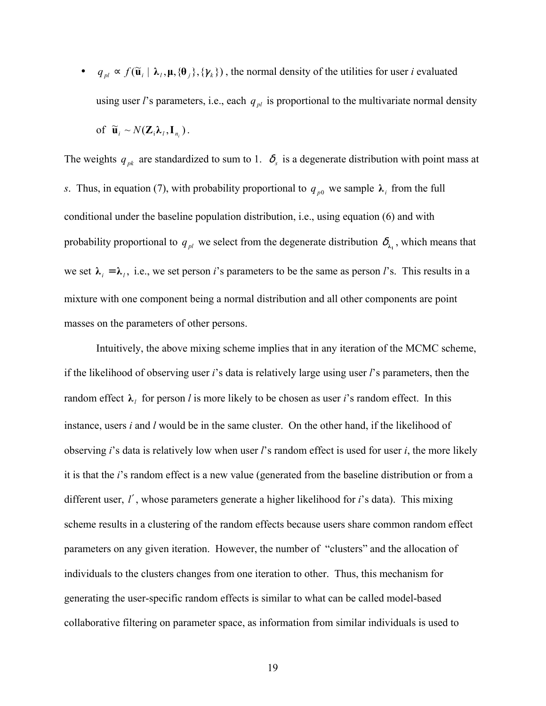$\bullet$  *q*<sub>*pl*</sub> ≈ *f*( $\tilde{u}$ <sub>*i*</sub> |  $\lambda$ <sub>*l*</sub>,  $\mu$ , { $\theta$ <sub>*j*</sub>}, { $\gamma$ <sub>*k*</sub>}), the normal density of the utilities for user *i* evaluated using user *l*'s parameters, i.e., each  $q_{pl}$  is proportional to the multivariate normal density of  $\widetilde{\mathbf{u}}_i \sim N(\mathbf{Z}_i \lambda_i, \mathbf{I}_n).$ 

The weights  $q_{pk}$  are standardized to sum to 1.  $\delta_s$  is a degenerate distribution with point mass at *s*. Thus, in equation (7), with probability proportional to  $q_{p0}$  we sample  $\lambda_i$  from the full conditional under the baseline population distribution, i.e., using equation (6) and with probability proportional to  $q_{pl}$  we select from the degenerate distribution  $\delta_{\lambda_1}$ , which means that we set  $\lambda_i = \lambda_i$ , i.e., we set person *i*'s parameters to be the same as person *l*'s. This results in a mixture with one component being a normal distribution and all other components are point masses on the parameters of other persons.

 Intuitively, the above mixing scheme implies that in any iteration of the MCMC scheme, if the likelihood of observing user *i*'s data is relatively large using user *l*'s parameters, then the random effect  $\lambda_i$  for person *l* is more likely to be chosen as user *i*'s random effect. In this instance, users *i* and *l* would be in the same cluster. On the other hand, if the likelihood of observing *i*'s data is relatively low when user *l*'s random effect is used for user *i*, the more likely it is that the *i*'s random effect is a new value (generated from the baseline distribution or from a different user, *l*′, whose parameters generate a higher likelihood for *i*'s data). This mixing scheme results in a clustering of the random effects because users share common random effect parameters on any given iteration. However, the number of "clusters" and the allocation of individuals to the clusters changes from one iteration to other. Thus, this mechanism for generating the user-specific random effects is similar to what can be called model-based collaborative filtering on parameter space, as information from similar individuals is used to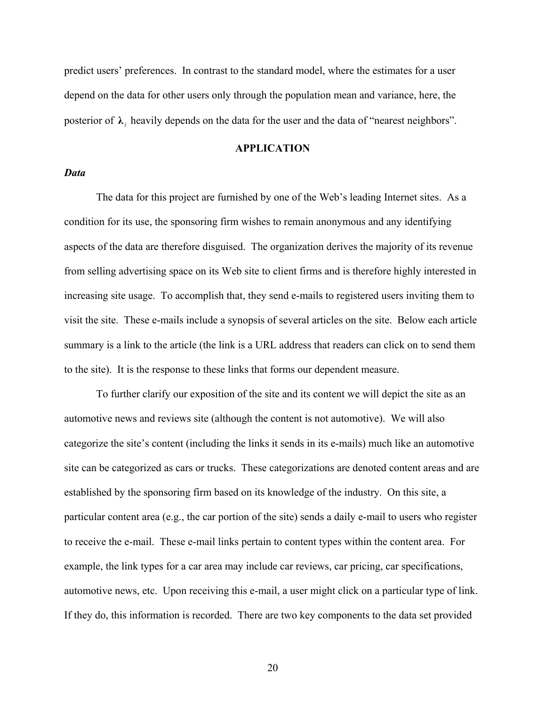predict users' preferences. In contrast to the standard model, where the estimates for a user depend on the data for other users only through the population mean and variance, here, the posterior of  $\lambda_i$ , heavily depends on the data for the user and the data of "nearest neighbors".

## **APPLICATION**

## *Data*

The data for this project are furnished by one of the Web's leading Internet sites. As a condition for its use, the sponsoring firm wishes to remain anonymous and any identifying aspects of the data are therefore disguised. The organization derives the majority of its revenue from selling advertising space on its Web site to client firms and is therefore highly interested in increasing site usage. To accomplish that, they send e-mails to registered users inviting them to visit the site. These e-mails include a synopsis of several articles on the site. Below each article summary is a link to the article (the link is a URL address that readers can click on to send them to the site). It is the response to these links that forms our dependent measure.

 To further clarify our exposition of the site and its content we will depict the site as an automotive news and reviews site (although the content is not automotive). We will also categorize the site's content (including the links it sends in its e-mails) much like an automotive site can be categorized as cars or trucks. These categorizations are denoted content areas and are established by the sponsoring firm based on its knowledge of the industry. On this site, a particular content area (e.g., the car portion of the site) sends a daily e-mail to users who register to receive the e-mail. These e-mail links pertain to content types within the content area. For example, the link types for a car area may include car reviews, car pricing, car specifications, automotive news, etc. Upon receiving this e-mail, a user might click on a particular type of link. If they do, this information is recorded. There are two key components to the data set provided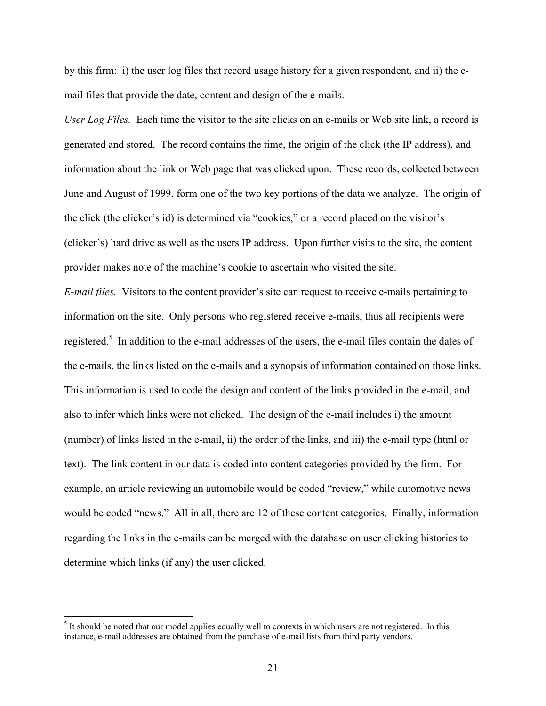by this firm: i) the user log files that record usage history for a given respondent, and ii) the email files that provide the date, content and design of the e-mails.

*User Log Files.* Each time the visitor to the site clicks on an e-mails or Web site link, a record is generated and stored. The record contains the time, the origin of the click (the IP address), and information about the link or Web page that was clicked upon. These records, collected between June and August of 1999, form one of the two key portions of the data we analyze. The origin of the click (the clicker's id) is determined via "cookies," or a record placed on the visitor's (clicker's) hard drive as well as the users IP address. Upon further visits to the site, the content provider makes note of the machine's cookie to ascertain who visited the site.

*E-mail files.* Visitors to the content provider's site can request to receive e-mails pertaining to information on the site. Only persons who registered receive e-mails, thus all recipients were registered.<sup>5</sup> In addition to the e-mail addresses of the users, the e-mail files contain the dates of the e-mails, the links listed on the e-mails and a synopsis of information contained on those links. This information is used to code the design and content of the links provided in the e-mail, and also to infer which links were not clicked. The design of the e-mail includes i) the amount (number) of links listed in the e-mail, ii) the order of the links, and iii) the e-mail type (html or text). The link content in our data is coded into content categories provided by the firm. For example, an article reviewing an automobile would be coded "review," while automotive news would be coded "news." All in all, there are 12 of these content categories. Finally, information regarding the links in the e-mails can be merged with the database on user clicking histories to determine which links (if any) the user clicked.

 $<sup>5</sup>$  It should be noted that our model applies equally well to contexts in which users are not registered. In this</sup> instance, e-mail addresses are obtained from the purchase of e-mail lists from third party vendors.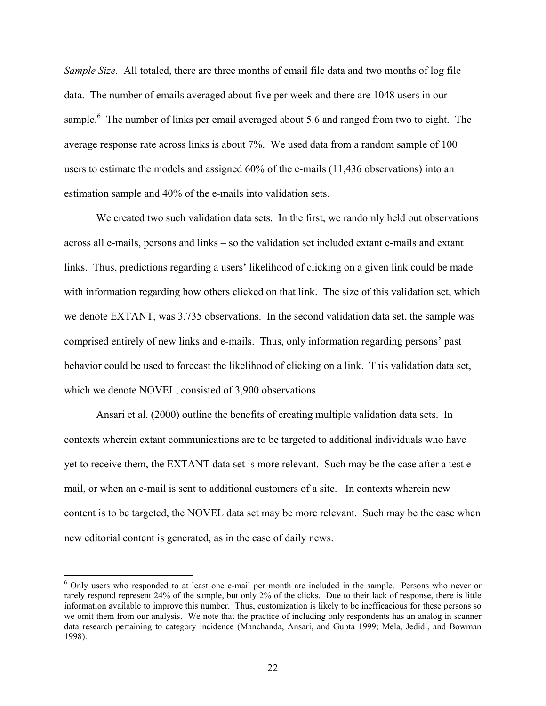*Sample Size.* All totaled, there are three months of email file data and two months of log file data. The number of emails averaged about five per week and there are 1048 users in our sample.<sup>6</sup> The number of links per email averaged about 5.6 and ranged from two to eight. The average response rate across links is about 7%. We used data from a random sample of 100 users to estimate the models and assigned 60% of the e-mails (11,436 observations) into an estimation sample and 40% of the e-mails into validation sets.

We created two such validation data sets. In the first, we randomly held out observations across all e-mails, persons and links – so the validation set included extant e-mails and extant links. Thus, predictions regarding a users' likelihood of clicking on a given link could be made with information regarding how others clicked on that link. The size of this validation set, which we denote EXTANT, was 3,735 observations. In the second validation data set, the sample was comprised entirely of new links and e-mails. Thus, only information regarding persons' past behavior could be used to forecast the likelihood of clicking on a link. This validation data set, which we denote NOVEL, consisted of 3,900 observations.

Ansari et al. (2000) outline the benefits of creating multiple validation data sets. In contexts wherein extant communications are to be targeted to additional individuals who have yet to receive them, the EXTANT data set is more relevant. Such may be the case after a test email, or when an e-mail is sent to additional customers of a site. In contexts wherein new content is to be targeted, the NOVEL data set may be more relevant. Such may be the case when new editorial content is generated, as in the case of daily news.

<sup>&</sup>lt;sup>6</sup> Only users who responded to at least one e-mail per month are included in the sample. Persons who never or rarely respond represent 24% of the sample, but only 2% of the clicks. Due to their lack of response, there is little information available to improve this number. Thus, customization is likely to be inefficacious for these persons so we omit them from our analysis. We note that the practice of including only respondents has an analog in scanner data research pertaining to category incidence (Manchanda, Ansari, and Gupta 1999; Mela, Jedidi, and Bowman 1998).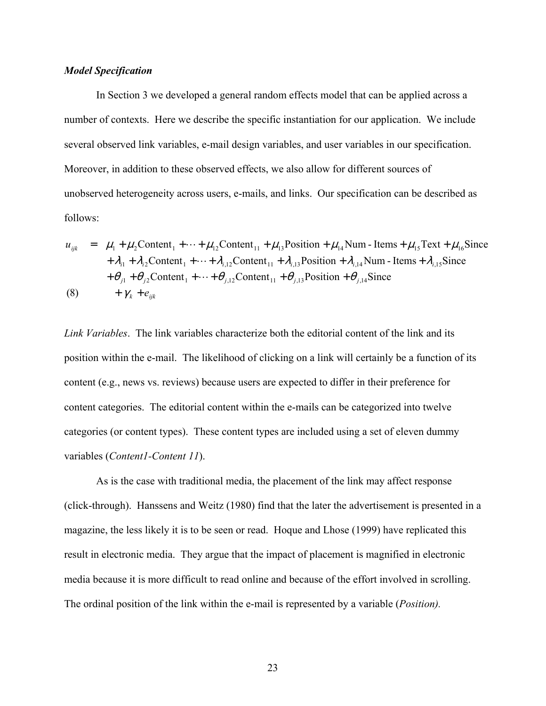#### *Model Specification*

In Section 3 we developed a general random effects model that can be applied across a number of contexts. Here we describe the specific instantiation for our application. We include several observed link variables, e-mail design variables, and user variables in our specification. Moreover, in addition to these observed effects, we also allow for different sources of unobserved heterogeneity across users, e-mails, and links. Our specification can be described as follows:

$$
u_{ijk} = \mu_1 + \mu_2 \text{Content}_1 + \dots + \mu_{12} \text{Content}_{11} + \mu_{13} \text{Position} + \mu_{14} \text{Num} - \text{Items} + \mu_{15} \text{Text} + \mu_{16} \text{Since}
$$
  
+  $\lambda_{i1} + \lambda_{i2} \text{Content}_1 + \dots + \lambda_{i,12} \text{Content}_{11} + \lambda_{i,13} \text{Position} + \lambda_{i,14} \text{Num} - \text{Items} + \lambda_{i,15} \text{Since}$   
+  $\theta_{j1} + \theta_{j2} \text{Content}_1 + \dots + \theta_{j,12} \text{Content}_{11} + \theta_{j,13} \text{Position} + \theta_{j,14} \text{Since}$   
(8) +  $\gamma_k + e_{ijk}$ 

*Link Variables*. The link variables characterize both the editorial content of the link and its position within the e-mail. The likelihood of clicking on a link will certainly be a function of its content (e.g., news vs. reviews) because users are expected to differ in their preference for content categories. The editorial content within the e-mails can be categorized into twelve categories (or content types). These content types are included using a set of eleven dummy variables (*Content1-Content 11*).

 As is the case with traditional media, the placement of the link may affect response (click-through). Hanssens and Weitz (1980) find that the later the advertisement is presented in a magazine, the less likely it is to be seen or read. Hoque and Lhose (1999) have replicated this result in electronic media. They argue that the impact of placement is magnified in electronic media because it is more difficult to read online and because of the effort involved in scrolling. The ordinal position of the link within the e-mail is represented by a variable (*Position).*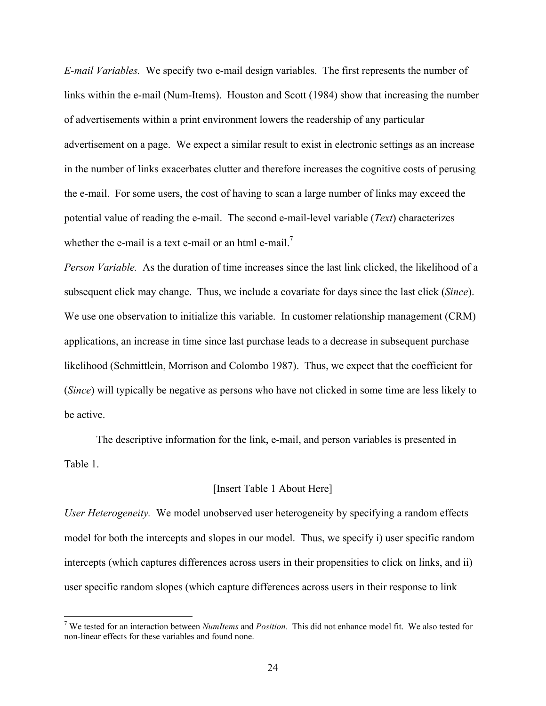*E-mail Variables.* We specify two e-mail design variables. The first represents the number of links within the e-mail (Num-Items). Houston and Scott (1984) show that increasing the number of advertisements within a print environment lowers the readership of any particular advertisement on a page. We expect a similar result to exist in electronic settings as an increase in the number of links exacerbates clutter and therefore increases the cognitive costs of perusing the e-mail. For some users, the cost of having to scan a large number of links may exceed the potential value of reading the e-mail. The second e-mail-level variable (*Text*) characterizes whether the e-mail is a text e-mail or an html e-mail.<sup>7</sup>

*Person Variable.* As the duration of time increases since the last link clicked, the likelihood of a subsequent click may change. Thus, we include a covariate for days since the last click (*Since*). We use one observation to initialize this variable. In customer relationship management (CRM) applications, an increase in time since last purchase leads to a decrease in subsequent purchase likelihood (Schmittlein, Morrison and Colombo 1987). Thus, we expect that the coefficient for (*Since*) will typically be negative as persons who have not clicked in some time are less likely to be active.

 The descriptive information for the link, e-mail, and person variables is presented in Table 1.

## [Insert Table 1 About Here]

*User Heterogeneity.* We model unobserved user heterogeneity by specifying a random effects model for both the intercepts and slopes in our model. Thus, we specify i) user specific random intercepts (which captures differences across users in their propensities to click on links, and ii) user specific random slopes (which capture differences across users in their response to link

 7 We tested for an interaction between *NumItems* and *Position*. This did not enhance model fit. We also tested for non-linear effects for these variables and found none.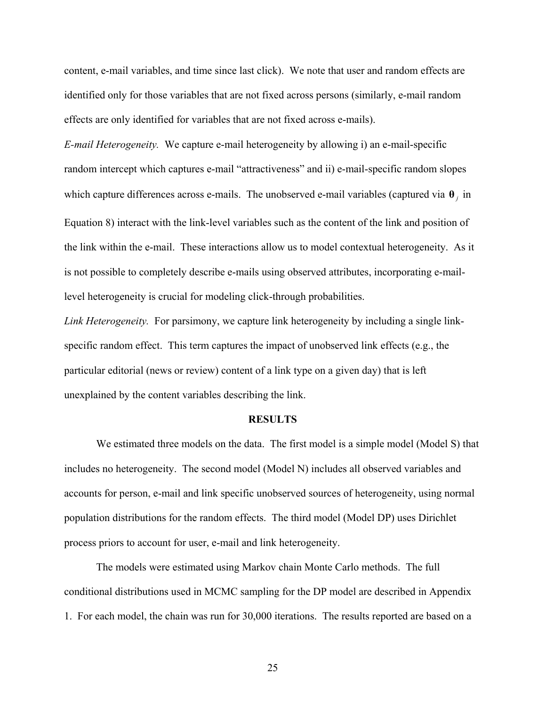content, e-mail variables, and time since last click). We note that user and random effects are identified only for those variables that are not fixed across persons (similarly, e-mail random effects are only identified for variables that are not fixed across e-mails).

*E-mail Heterogeneity.* We capture e-mail heterogeneity by allowing i) an e-mail-specific random intercept which captures e-mail "attractiveness" and ii) e-mail-specific random slopes which capture differences across e-mails. The unobserved e-mail variables (captured via **θ** *j* in Equation 8) interact with the link-level variables such as the content of the link and position of the link within the e-mail. These interactions allow us to model contextual heterogeneity. As it is not possible to completely describe e-mails using observed attributes, incorporating e-maillevel heterogeneity is crucial for modeling click-through probabilities.

*Link Heterogeneity.* For parsimony, we capture link heterogeneity by including a single linkspecific random effect. This term captures the impact of unobserved link effects (e.g., the particular editorial (news or review) content of a link type on a given day) that is left unexplained by the content variables describing the link.

#### **RESULTS**

We estimated three models on the data. The first model is a simple model (Model S) that includes no heterogeneity. The second model (Model N) includes all observed variables and accounts for person, e-mail and link specific unobserved sources of heterogeneity, using normal population distributions for the random effects. The third model (Model DP) uses Dirichlet process priors to account for user, e-mail and link heterogeneity.

 The models were estimated using Markov chain Monte Carlo methods. The full conditional distributions used in MCMC sampling for the DP model are described in Appendix 1. For each model, the chain was run for 30,000 iterations. The results reported are based on a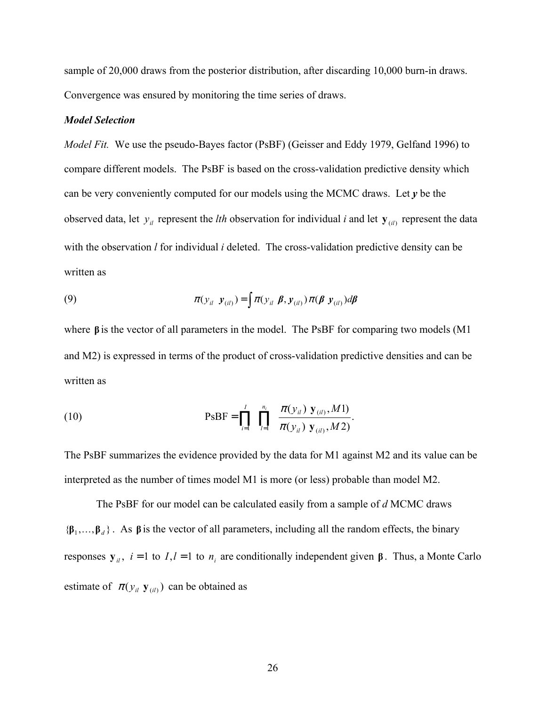sample of 20,000 draws from the posterior distribution, after discarding 10,000 burn-in draws. Convergence was ensured by monitoring the time series of draws.

## *Model Selection*

*Model Fit.* We use the pseudo-Bayes factor (PsBF) (Geisser and Eddy 1979, Gelfand 1996) to compare different models. The PsBF is based on the cross-validation predictive density which can be very conveniently computed for our models using the MCMC draws. Let *y* be the observed data, let  $y_i$  represent the *lth* observation for individual *i* and let  $y_{(i)}$  represent the data with the observation *l* for individual *i* deleted. The cross-validation predictive density can be written as

(9) 
$$
\pi(y_{ii} | y_{(ii)}) = \int \pi(y_{ii} | \boldsymbol{\beta}, y_{(ii)}) \pi(\boldsymbol{\beta} | y_{(ii)}) d\boldsymbol{\beta}
$$

where **β** is the vector of all parameters in the model. The PsBF for comparing two models (M1 and M2) is expressed in terms of the product of cross-validation predictive densities and can be written as

(10) 
$$
PSBF = \prod_{i=1}^{I} \prod_{l=1}^{n_i} \frac{\pi(y_{il})|y_{(il)}, M1)}{\pi(y_{il})|y_{(il)}, M2)}.
$$

The PsBF summarizes the evidence provided by the data for M1 against M2 and its value can be interpreted as the number of times model M1 is more (or less) probable than model M2.

 The PsBF for our model can be calculated easily from a sample of *d* MCMC draws  ${\{\beta_1,\ldots,\beta_d\}}$ . As  $\beta$  is the vector of all parameters, including all the random effects, the binary responses  $y_i$ , *i* = 1 to *I*,*l* = 1 to *n<sub>i</sub>* are conditionally independent given β. Thus, a Monte Carlo estimate of  $\pi(y_i | \mathbf{y}_{(ii)})$  can be obtained as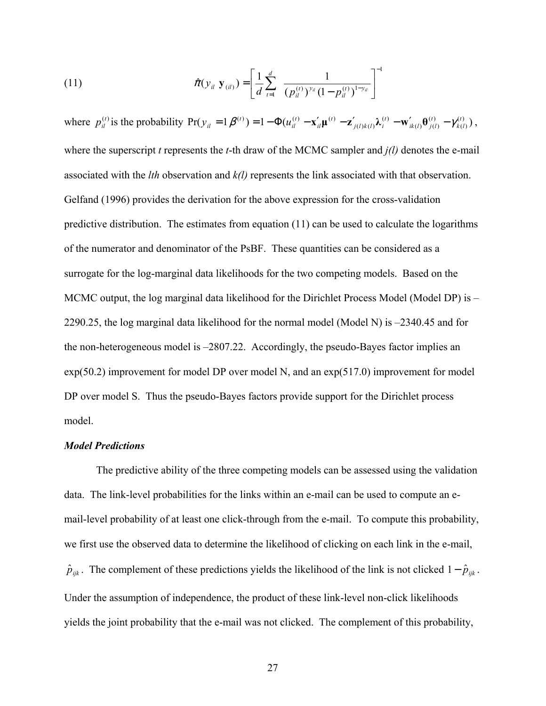(11) 
$$
\hat{\pi}(y_{il}|\mathbf{y}_{(il)}) = \left[\frac{1}{d}\sum_{t=1}^{d} \frac{1}{(p_{il}^{(t)})^{y_{il}}(1-p_{il}^{(t)})^{1-y_{il}}}\right]^{-1}
$$

where  $p_{il}^{(t)}$  is the probability  $Pr(y_{il} = 1 | \beta^{(t)}) = 1 - \Phi(u_{il}^{(t)} - \mathbf{x}_{il}' \mathbf{\mu}^{(t)} - \mathbf{z}_{j(l)k(l)}' \mathbf{\lambda}_{i}^{(t)} - \mathbf{w}_{ik(l)}' \mathbf{\theta}_{j(l)}^{(t)} - \gamma_{k(l)}^{(t)} )$  $(t)$  $(l)$ <sup> $\mathbf{U}$ </sup> $j(l)$  $(t)$  $(l) k(l)$  $(t)$ )  $-1$   $\Phi(t)$   $(t)$   $v'$   $(t)$   $v'$   $(1)$   $v'$   $(1)$   $v'$   $(0)$   $(1)$ *k l t*  $ik(l)$   $j(l)$ *t*  $j(l)k(l)$ <sup>r</sup> $i$ *t il t*  $y_{il} = 1 | \beta^{(t)} \rangle = 1 - \Phi(u_{il}^{(t)} - \mathbf{x}_{il}^{'} \mathbf{\mu}^{(t)} - \mathbf{z}_{j(l)k(l)}^{'} \lambda_i^{(t)} - \mathbf{w}_{ik(l)}^{'} \theta_{j(l)}^{(t)} - \gamma_{k(l)}^{(t)}),$ where the superscript *t* represents the *t*-th draw of the MCMC sampler and *j(l)* denotes the e-mail associated with the *lth* observation and *k(l)* represents the link associated with that observation. Gelfand (1996) provides the derivation for the above expression for the cross-validation predictive distribution. The estimates from equation  $(11)$  can be used to calculate the logarithms of the numerator and denominator of the PsBF. These quantities can be considered as a surrogate for the log-marginal data likelihoods for the two competing models. Based on the MCMC output, the log marginal data likelihood for the Dirichlet Process Model (Model DP) is – 2290.25, the log marginal data likelihood for the normal model (Model N) is –2340.45 and for the non-heterogeneous model is –2807.22. Accordingly, the pseudo-Bayes factor implies an  $exp(50.2)$  improvement for model DP over model N, and an  $exp(517.0)$  improvement for model DP over model S. Thus the pseudo-Bayes factors provide support for the Dirichlet process model.

#### *Model Predictions*

The predictive ability of the three competing models can be assessed using the validation data. The link-level probabilities for the links within an e-mail can be used to compute an email-level probability of at least one click-through from the e-mail. To compute this probability, we first use the observed data to determine the likelihood of clicking on each link in the e-mail,  $\hat{p}_{ijk}$ . The complement of these predictions yields the likelihood of the link is not clicked  $1-\hat{p}_{ijk}$ . Under the assumption of independence, the product of these link-level non-click likelihoods yields the joint probability that the e-mail was not clicked. The complement of this probability,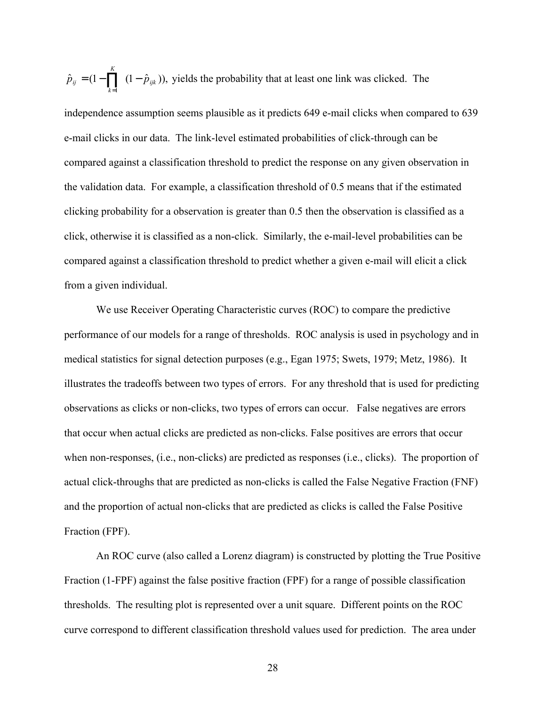$\hat{p}_{ii} = (1 - \prod (1 - \hat{p}_{iik})),$ 1 *ijk K*  $\hat{p}_{ij} = (1 - \prod_{k=1} (1 - \hat{p}_{ijk}))$ , yields the probability that at least one link was clicked. The

independence assumption seems plausible as it predicts 649 e-mail clicks when compared to 639 e-mail clicks in our data. The link-level estimated probabilities of click-through can be compared against a classification threshold to predict the response on any given observation in the validation data. For example, a classification threshold of 0.5 means that if the estimated clicking probability for a observation is greater than 0.5 then the observation is classified as a click, otherwise it is classified as a non-click. Similarly, the e-mail-level probabilities can be compared against a classification threshold to predict whether a given e-mail will elicit a click from a given individual.

 We use Receiver Operating Characteristic curves (ROC) to compare the predictive performance of our models for a range of thresholds. ROC analysis is used in psychology and in medical statistics for signal detection purposes (e.g., Egan 1975; Swets, 1979; Metz, 1986). It illustrates the tradeoffs between two types of errors. For any threshold that is used for predicting observations as clicks or non-clicks, two types of errors can occur. False negatives are errors that occur when actual clicks are predicted as non-clicks. False positives are errors that occur when non-responses, (i.e., non-clicks) are predicted as responses (i.e., clicks). The proportion of actual click-throughs that are predicted as non-clicks is called the False Negative Fraction (FNF) and the proportion of actual non-clicks that are predicted as clicks is called the False Positive Fraction (FPF).

 An ROC curve (also called a Lorenz diagram) is constructed by plotting the True Positive Fraction (1-FPF) against the false positive fraction (FPF) for a range of possible classification thresholds. The resulting plot is represented over a unit square. Different points on the ROC curve correspond to different classification threshold values used for prediction. The area under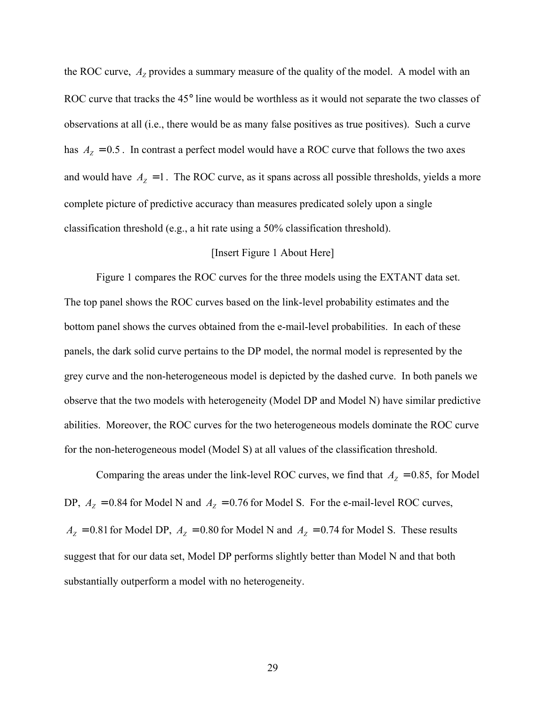the ROC curve,  $A<sub>Z</sub>$  provides a summary measure of the quality of the model. A model with an ROC curve that tracks the 45° line would be worthless as it would not separate the two classes of observations at all (i.e., there would be as many false positives as true positives). Such a curve has  $A_Z = 0.5$ . In contrast a perfect model would have a ROC curve that follows the two axes and would have  $A<sub>Z</sub> = 1$ . The ROC curve, as it spans across all possible thresholds, yields a more complete picture of predictive accuracy than measures predicated solely upon a single classification threshold (e.g., a hit rate using a 50% classification threshold).

## [Insert Figure 1 About Here]

 Figure 1 compares the ROC curves for the three models using the EXTANT data set. The top panel shows the ROC curves based on the link-level probability estimates and the bottom panel shows the curves obtained from the e-mail-level probabilities. In each of these panels, the dark solid curve pertains to the DP model, the normal model is represented by the grey curve and the non-heterogeneous model is depicted by the dashed curve. In both panels we observe that the two models with heterogeneity (Model DP and Model N) have similar predictive abilities. Moreover, the ROC curves for the two heterogeneous models dominate the ROC curve for the non-heterogeneous model (Model S) at all values of the classification threshold.

Comparing the areas under the link-level ROC curves, we find that  $A<sub>Z</sub> = 0.85$ , for Model DP,  $A_Z = 0.84$  for Model N and  $A_Z = 0.76$  for Model S. For the e-mail-level ROC curves,  $A_Z = 0.81$  for Model DP,  $A_Z = 0.80$  for Model N and  $A_Z = 0.74$  for Model S. These results suggest that for our data set, Model DP performs slightly better than Model N and that both substantially outperform a model with no heterogeneity.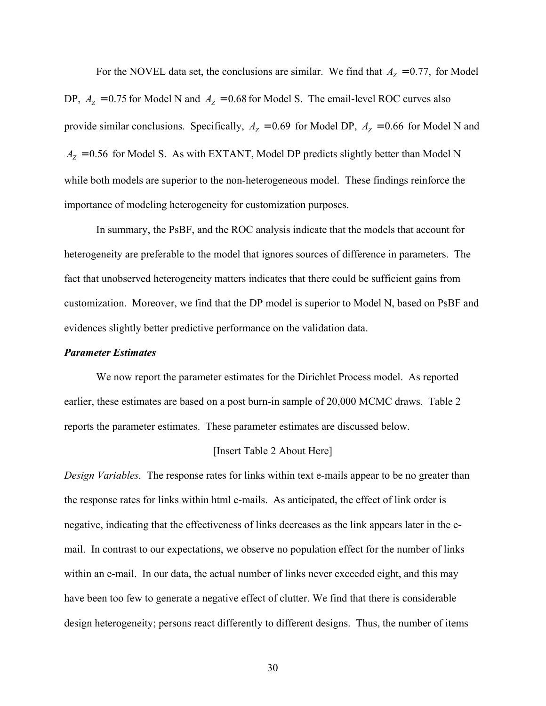For the NOVEL data set, the conclusions are similar. We find that  $A<sub>Z</sub> = 0.77$ , for Model DP,  $A_Z = 0.75$  for Model N and  $A_Z = 0.68$  for Model S. The email-level ROC curves also provide similar conclusions. Specifically,  $A_z = 0.69$  for Model DP,  $A_z = 0.66$  for Model N and  $A<sub>Z</sub> = 0.56$  for Model S. As with EXTANT, Model DP predicts slightly better than Model N while both models are superior to the non-heterogeneous model. These findings reinforce the importance of modeling heterogeneity for customization purposes.

 In summary, the PsBF, and the ROC analysis indicate that the models that account for heterogeneity are preferable to the model that ignores sources of difference in parameters. The fact that unobserved heterogeneity matters indicates that there could be sufficient gains from customization. Moreover, we find that the DP model is superior to Model N, based on PsBF and evidences slightly better predictive performance on the validation data.

#### *Parameter Estimates*

We now report the parameter estimates for the Dirichlet Process model. As reported earlier, these estimates are based on a post burn-in sample of 20,000 MCMC draws. Table 2 reports the parameter estimates. These parameter estimates are discussed below.

#### [Insert Table 2 About Here]

*Design Variables.* The response rates for links within text e-mails appear to be no greater than the response rates for links within html e-mails. As anticipated, the effect of link order is negative, indicating that the effectiveness of links decreases as the link appears later in the email. In contrast to our expectations, we observe no population effect for the number of links within an e-mail. In our data, the actual number of links never exceeded eight, and this may have been too few to generate a negative effect of clutter. We find that there is considerable design heterogeneity; persons react differently to different designs. Thus, the number of items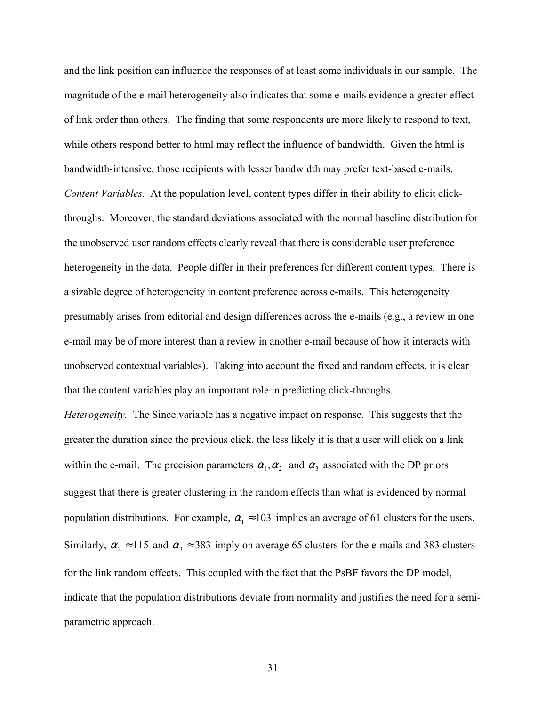and the link position can influence the responses of at least some individuals in our sample. The magnitude of the e-mail heterogeneity also indicates that some e-mails evidence a greater effect of link order than others. The finding that some respondents are more likely to respond to text, while others respond better to html may reflect the influence of bandwidth. Given the html is bandwidth-intensive, those recipients with lesser bandwidth may prefer text-based e-mails. *Content Variables.* At the population level, content types differ in their ability to elicit clickthroughs. Moreover, the standard deviations associated with the normal baseline distribution for the unobserved user random effects clearly reveal that there is considerable user preference heterogeneity in the data. People differ in their preferences for different content types. There is a sizable degree of heterogeneity in content preference across e-mails. This heterogeneity presumably arises from editorial and design differences across the e-mails (e.g., a review in one e-mail may be of more interest than a review in another e-mail because of how it interacts with unobserved contextual variables). Taking into account the fixed and random effects, it is clear that the content variables play an important role in predicting click-throughs.

*Heterogeneity.* The Since variable has a negative impact on response. This suggests that the greater the duration since the previous click, the less likely it is that a user will click on a link within the e-mail. The precision parameters  $\alpha_1, \alpha_2$  and  $\alpha_3$  associated with the DP priors suggest that there is greater clustering in the random effects than what is evidenced by normal population distributions. For example,  $\alpha_1 \approx 103$  implies an average of 61 clusters for the users. Similarly,  $\alpha_2 \approx 115$  and  $\alpha_3 \approx 383$  imply on average 65 clusters for the e-mails and 383 clusters for the link random effects. This coupled with the fact that the PsBF favors the DP model, indicate that the population distributions deviate from normality and justifies the need for a semiparametric approach.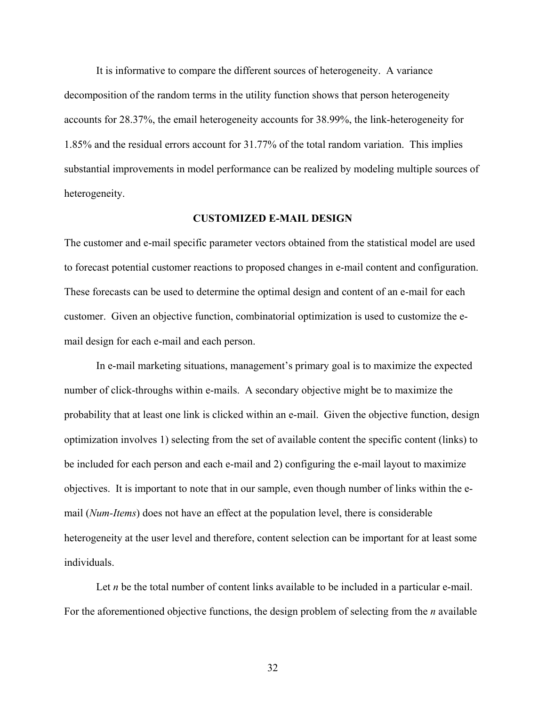It is informative to compare the different sources of heterogeneity. A variance decomposition of the random terms in the utility function shows that person heterogeneity accounts for 28.37%, the email heterogeneity accounts for 38.99%, the link-heterogeneity for 1.85% and the residual errors account for 31.77% of the total random variation. This implies substantial improvements in model performance can be realized by modeling multiple sources of heterogeneity.

#### **CUSTOMIZED E-MAIL DESIGN**

The customer and e-mail specific parameter vectors obtained from the statistical model are used to forecast potential customer reactions to proposed changes in e-mail content and configuration. These forecasts can be used to determine the optimal design and content of an e-mail for each customer. Given an objective function, combinatorial optimization is used to customize the email design for each e-mail and each person.

 In e-mail marketing situations, management's primary goal is to maximize the expected number of click-throughs within e-mails. A secondary objective might be to maximize the probability that at least one link is clicked within an e-mail. Given the objective function, design optimization involves 1) selecting from the set of available content the specific content (links) to be included for each person and each e-mail and 2) configuring the e-mail layout to maximize objectives. It is important to note that in our sample, even though number of links within the email (*Num-Items*) does not have an effect at the population level, there is considerable heterogeneity at the user level and therefore, content selection can be important for at least some individuals.

Let *n* be the total number of content links available to be included in a particular e-mail. For the aforementioned objective functions, the design problem of selecting from the *n* available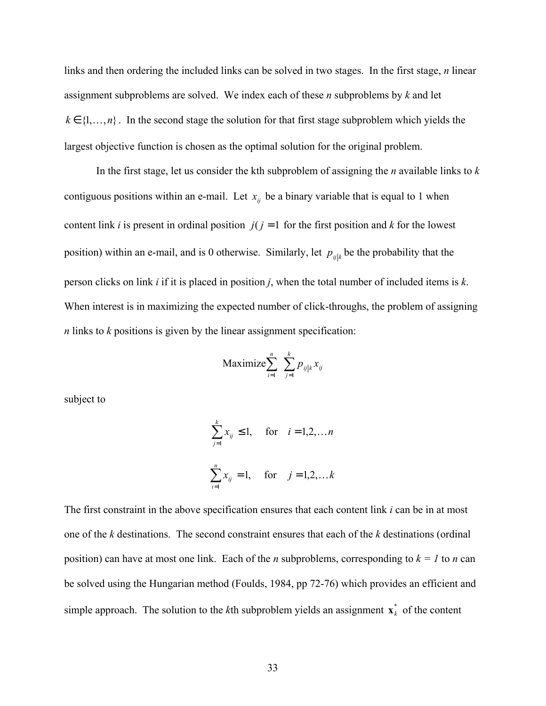links and then ordering the included links can be solved in two stages. In the first stage, *n* linear assignment subproblems are solved. We index each of these *n* subproblems by *k* and let  $k \in \{1,\ldots,n\}$ . In the second stage the solution for that first stage subproblem which yields the largest objective function is chosen as the optimal solution for the original problem.

 In the first stage, let us consider the kth subproblem of assigning the *n* available links to *k* contiguous positions within an e-mail. Let  $x_{ij}$  be a binary variable that is equal to 1 when content link *i* is present in ordinal position  $j(j = 1$  for the first position and *k* for the lowest position) within an e-mail, and is 0 otherwise. Similarly, let  $p_{ijk}$  be the probability that the person clicks on link *i* if it is placed in position *j*, when the total number of included items is *k*. When interest is in maximizing the expected number of click-throughs, the problem of assigning *n* links to *k* positions is given by the linear assignment specification:

$$
\text{Maximize} \sum_{i=1}^{n} \sum_{j=1}^{k} p_{ij|k} x_{ij}
$$

subject to

$$
\sum_{j=1}^{k} x_{ij} \le 1, \quad \text{for} \quad i = 1, 2, \dots n
$$
  

$$
\sum_{i=1}^{n} x_{ij} = 1, \quad \text{for} \quad j = 1, 2, \dots k
$$

The first constraint in the above specification ensures that each content link *i* can be in at most one of the *k* destinations. The second constraint ensures that each of the *k* destinations (ordinal position) can have at most one link. Each of the *n* subproblems, corresponding to  $k = 1$  to *n* can be solved using the Hungarian method (Foulds, 1984, pp 72-76) which provides an efficient and simple approach. The solution to the *k*th subproblem yields an assignment  $\mathbf{x}_k^*$  of the content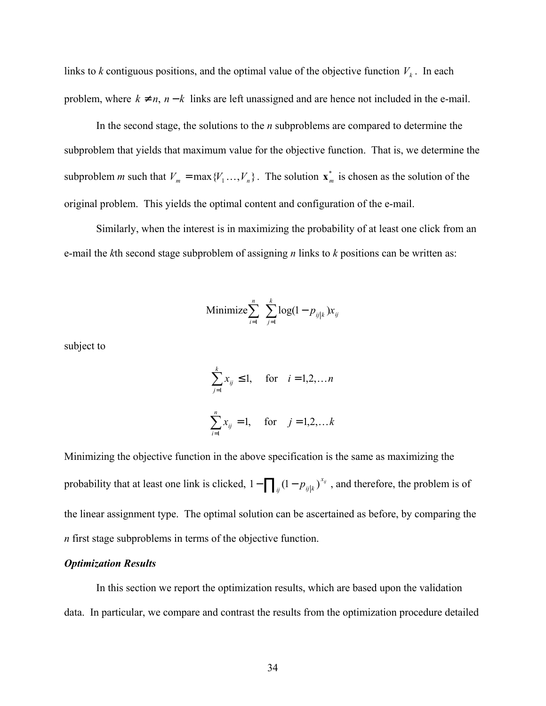links to *k* contiguous positions, and the optimal value of the objective function  $V_k$ . In each problem, where  $k \neq n$ ,  $n - k$  links are left unassigned and are hence not included in the e-mail.

 In the second stage, the solutions to the *n* subproblems are compared to determine the subproblem that yields that maximum value for the objective function. That is, we determine the subproblem *m* such that  $V_m = \max{Y_1 \dots, Y_n}$ . The solution  $\mathbf{x}_m^*$  is chosen as the solution of the original problem. This yields the optimal content and configuration of the e-mail.

 Similarly, when the interest is in maximizing the probability of at least one click from an e-mail the *k*th second stage subproblem of assigning *n* links to *k* positions can be written as:

Minimize 
$$
\sum_{i=1}^{n} \sum_{j=1}^{k} \log(1 - p_{ij|k}) x_{ij}
$$

subject to

$$
\sum_{j=1}^{k} x_{ij} \le 1, \quad \text{for} \quad i = 1, 2, \dots n
$$
  

$$
\sum_{i=1}^{n} x_{ij} = 1, \quad \text{for} \quad j = 1, 2, \dots k
$$

Minimizing the objective function in the above specification is the same as maximizing the probability that at least one link is clicked,  $1 - \prod_{i,j} (1 - p_{i,j|k})^x$  $1 - \prod_{ii} (1 - p_{ij|k})^{x_{ij}}$ , and therefore, the problem is of the linear assignment type. The optimal solution can be ascertained as before, by comparing the *n* first stage subproblems in terms of the objective function.

### *Optimization Results*

In this section we report the optimization results, which are based upon the validation data. In particular, we compare and contrast the results from the optimization procedure detailed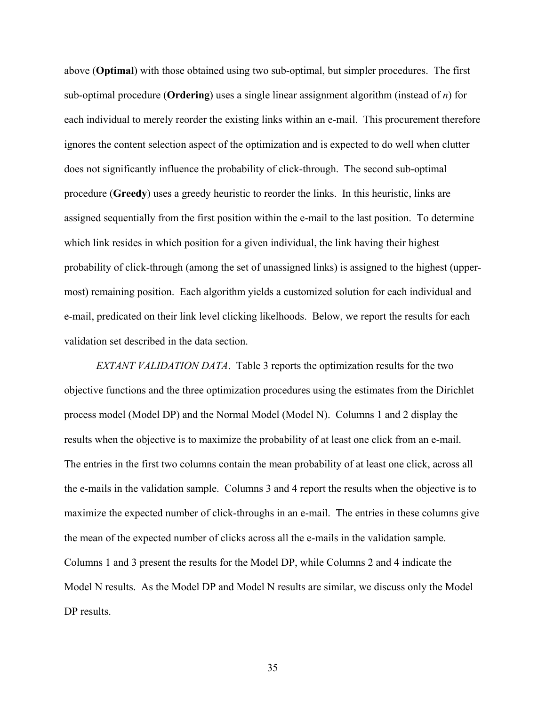above (**Optimal**) with those obtained using two sub-optimal, but simpler procedures. The first sub-optimal procedure (**Ordering**) uses a single linear assignment algorithm (instead of *n*) for each individual to merely reorder the existing links within an e-mail. This procurement therefore ignores the content selection aspect of the optimization and is expected to do well when clutter does not significantly influence the probability of click-through. The second sub-optimal procedure (**Greedy**) uses a greedy heuristic to reorder the links. In this heuristic, links are assigned sequentially from the first position within the e-mail to the last position. To determine which link resides in which position for a given individual, the link having their highest probability of click-through (among the set of unassigned links) is assigned to the highest (uppermost) remaining position. Each algorithm yields a customized solution for each individual and e-mail, predicated on their link level clicking likelhoods. Below, we report the results for each validation set described in the data section.

*EXTANT VALIDATION DATA*. Table 3 reports the optimization results for the two objective functions and the three optimization procedures using the estimates from the Dirichlet process model (Model DP) and the Normal Model (Model N). Columns 1 and 2 display the results when the objective is to maximize the probability of at least one click from an e-mail. The entries in the first two columns contain the mean probability of at least one click, across all the e-mails in the validation sample. Columns 3 and 4 report the results when the objective is to maximize the expected number of click-throughs in an e-mail. The entries in these columns give the mean of the expected number of clicks across all the e-mails in the validation sample. Columns 1 and 3 present the results for the Model DP, while Columns 2 and 4 indicate the Model N results. As the Model DP and Model N results are similar, we discuss only the Model DP results.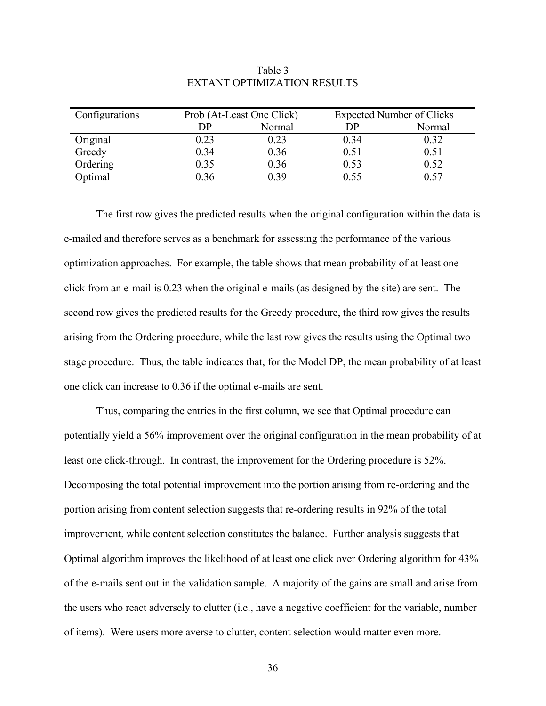| Configurations |      | Prob (At-Least One Click) | <b>Expected Number of Clicks</b> |        |
|----------------|------|---------------------------|----------------------------------|--------|
|                | DP   | Normal                    | DP                               | Normal |
| Original       | 0.23 | 0.23                      | 0.34                             | 0.32   |
| Greedy         | 0.34 | 0.36                      | 0.51                             | 0.51   |
| Ordering       | 0.35 | 0.36                      | 0.53                             | 0.52   |
| Optimal        | 0.36 | 0.39                      | 0.55                             | 0.57   |

## Table 3 EXTANT OPTIMIZATION RESULTS

The first row gives the predicted results when the original configuration within the data is e-mailed and therefore serves as a benchmark for assessing the performance of the various optimization approaches. For example, the table shows that mean probability of at least one click from an e-mail is 0.23 when the original e-mails (as designed by the site) are sent. The second row gives the predicted results for the Greedy procedure, the third row gives the results arising from the Ordering procedure, while the last row gives the results using the Optimal two stage procedure. Thus, the table indicates that, for the Model DP, the mean probability of at least one click can increase to 0.36 if the optimal e-mails are sent.

 Thus, comparing the entries in the first column, we see that Optimal procedure can potentially yield a 56% improvement over the original configuration in the mean probability of at least one click-through. In contrast, the improvement for the Ordering procedure is 52%. Decomposing the total potential improvement into the portion arising from re-ordering and the portion arising from content selection suggests that re-ordering results in 92% of the total improvement, while content selection constitutes the balance. Further analysis suggests that Optimal algorithm improves the likelihood of at least one click over Ordering algorithm for 43% of the e-mails sent out in the validation sample. A majority of the gains are small and arise from the users who react adversely to clutter (i.e., have a negative coefficient for the variable, number of items). Were users more averse to clutter, content selection would matter even more.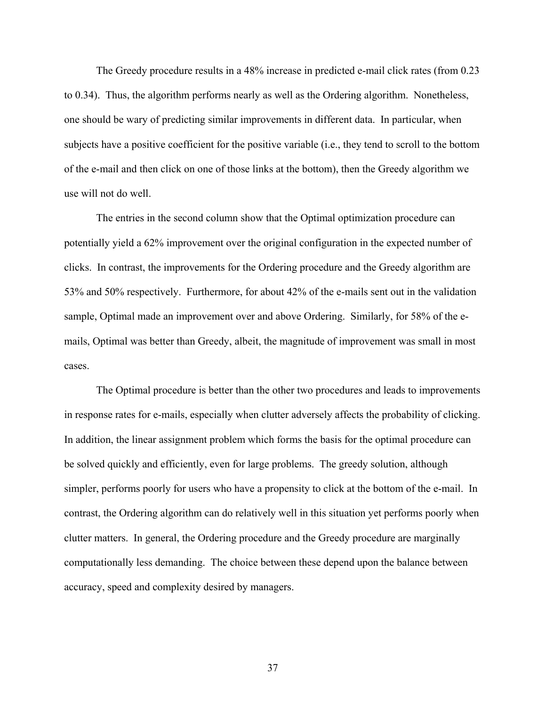The Greedy procedure results in a 48% increase in predicted e-mail click rates (from 0.23 to 0.34). Thus, the algorithm performs nearly as well as the Ordering algorithm. Nonetheless, one should be wary of predicting similar improvements in different data. In particular, when subjects have a positive coefficient for the positive variable (i.e., they tend to scroll to the bottom of the e-mail and then click on one of those links at the bottom), then the Greedy algorithm we use will not do well.

The entries in the second column show that the Optimal optimization procedure can potentially yield a 62% improvement over the original configuration in the expected number of clicks. In contrast, the improvements for the Ordering procedure and the Greedy algorithm are 53% and 50% respectively. Furthermore, for about 42% of the e-mails sent out in the validation sample, Optimal made an improvement over and above Ordering. Similarly, for 58% of the emails, Optimal was better than Greedy, albeit, the magnitude of improvement was small in most cases.

 The Optimal procedure is better than the other two procedures and leads to improvements in response rates for e-mails, especially when clutter adversely affects the probability of clicking. In addition, the linear assignment problem which forms the basis for the optimal procedure can be solved quickly and efficiently, even for large problems. The greedy solution, although simpler, performs poorly for users who have a propensity to click at the bottom of the e-mail. In contrast, the Ordering algorithm can do relatively well in this situation yet performs poorly when clutter matters. In general, the Ordering procedure and the Greedy procedure are marginally computationally less demanding. The choice between these depend upon the balance between accuracy, speed and complexity desired by managers.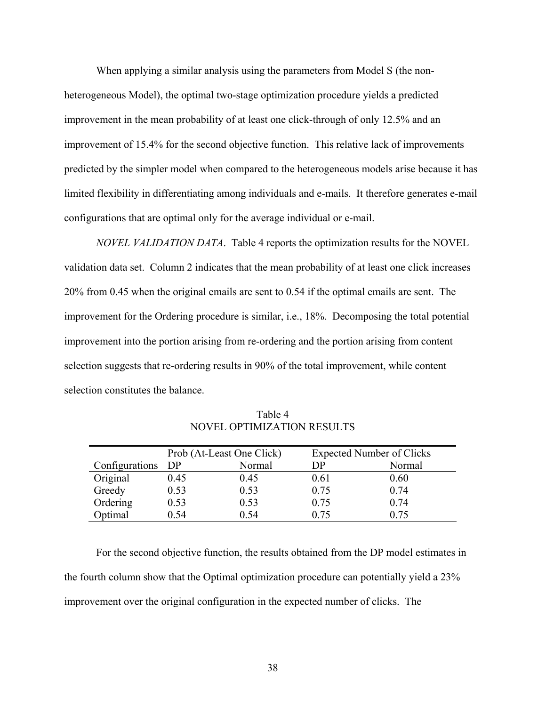When applying a similar analysis using the parameters from Model S (the nonheterogeneous Model), the optimal two-stage optimization procedure yields a predicted improvement in the mean probability of at least one click-through of only 12.5% and an improvement of 15.4% for the second objective function. This relative lack of improvements predicted by the simpler model when compared to the heterogeneous models arise because it has limited flexibility in differentiating among individuals and e-mails. It therefore generates e-mail configurations that are optimal only for the average individual or e-mail.

*NOVEL VALIDATION DATA*. Table 4 reports the optimization results for the NOVEL validation data set. Column 2 indicates that the mean probability of at least one click increases 20% from 0.45 when the original emails are sent to 0.54 if the optimal emails are sent. The improvement for the Ordering procedure is similar, i.e., 18%. Decomposing the total potential improvement into the portion arising from re-ordering and the portion arising from content selection suggests that re-ordering results in 90% of the total improvement, while content selection constitutes the balance.

|                   | Prob (At-Least One Click) |        | <b>Expected Number of Clicks</b> |        |
|-------------------|---------------------------|--------|----------------------------------|--------|
| Configurations DP |                           | Normal | DP                               | Normal |
| Original          | 0.45                      | 0.45   | 0.61                             | 0.60   |
| Greedy            | 0.53                      | 0.53   | 0.75                             | 0.74   |
| Ordering          | 0.53                      | 0.53   | 0.75                             | 0.74   |
| Optimal           | 0.54                      | 0.54   | 0 75                             | 0.75   |

Table 4 NOVEL OPTIMIZATION RESULTS

For the second objective function, the results obtained from the DP model estimates in the fourth column show that the Optimal optimization procedure can potentially yield a 23% improvement over the original configuration in the expected number of clicks. The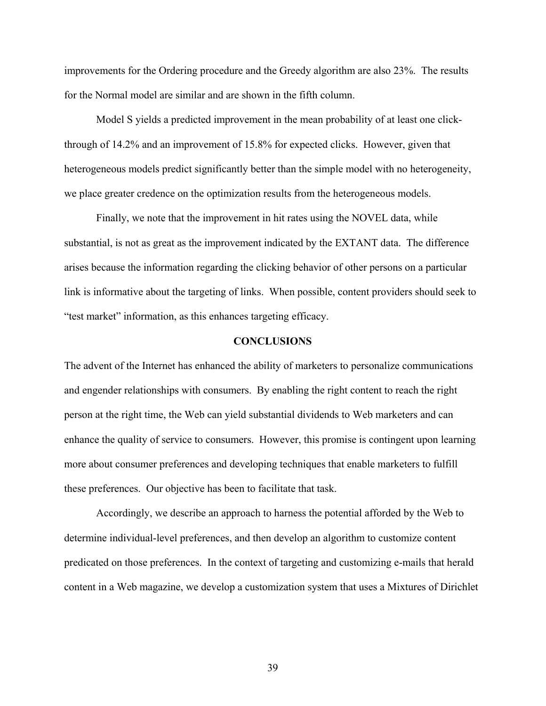improvements for the Ordering procedure and the Greedy algorithm are also 23%. The results for the Normal model are similar and are shown in the fifth column.

 Model S yields a predicted improvement in the mean probability of at least one clickthrough of 14.2% and an improvement of 15.8% for expected clicks. However, given that heterogeneous models predict significantly better than the simple model with no heterogeneity, we place greater credence on the optimization results from the heterogeneous models.

Finally, we note that the improvement in hit rates using the NOVEL data, while substantial, is not as great as the improvement indicated by the EXTANT data. The difference arises because the information regarding the clicking behavior of other persons on a particular link is informative about the targeting of links. When possible, content providers should seek to "test market" information, as this enhances targeting efficacy.

#### **CONCLUSIONS**

The advent of the Internet has enhanced the ability of marketers to personalize communications and engender relationships with consumers. By enabling the right content to reach the right person at the right time, the Web can yield substantial dividends to Web marketers and can enhance the quality of service to consumers. However, this promise is contingent upon learning more about consumer preferences and developing techniques that enable marketers to fulfill these preferences. Our objective has been to facilitate that task.

 Accordingly, we describe an approach to harness the potential afforded by the Web to determine individual-level preferences, and then develop an algorithm to customize content predicated on those preferences. In the context of targeting and customizing e-mails that herald content in a Web magazine, we develop a customization system that uses a Mixtures of Dirichlet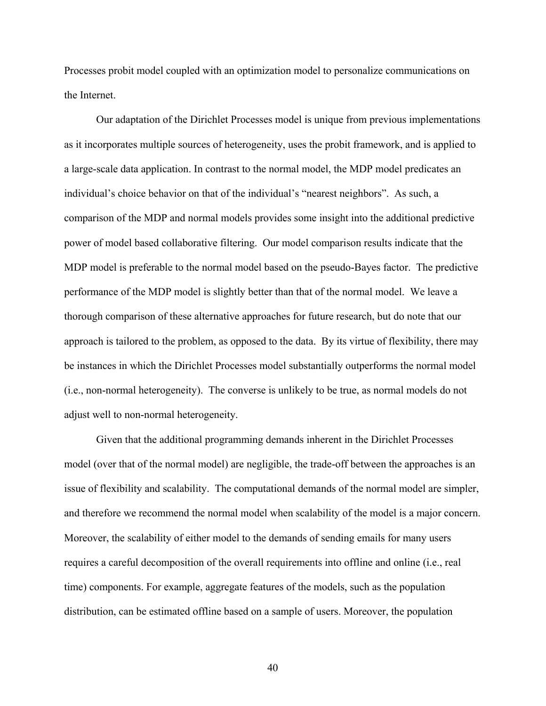Processes probit model coupled with an optimization model to personalize communications on the Internet.

 Our adaptation of the Dirichlet Processes model is unique from previous implementations as it incorporates multiple sources of heterogeneity, uses the probit framework, and is applied to a large-scale data application. In contrast to the normal model, the MDP model predicates an individual's choice behavior on that of the individual's "nearest neighbors". As such, a comparison of the MDP and normal models provides some insight into the additional predictive power of model based collaborative filtering. Our model comparison results indicate that the MDP model is preferable to the normal model based on the pseudo-Bayes factor. The predictive performance of the MDP model is slightly better than that of the normal model. We leave a thorough comparison of these alternative approaches for future research, but do note that our approach is tailored to the problem, as opposed to the data. By its virtue of flexibility, there may be instances in which the Dirichlet Processes model substantially outperforms the normal model (i.e., non-normal heterogeneity). The converse is unlikely to be true, as normal models do not adjust well to non-normal heterogeneity.

Given that the additional programming demands inherent in the Dirichlet Processes model (over that of the normal model) are negligible, the trade-off between the approaches is an issue of flexibility and scalability. The computational demands of the normal model are simpler, and therefore we recommend the normal model when scalability of the model is a major concern. Moreover, the scalability of either model to the demands of sending emails for many users requires a careful decomposition of the overall requirements into offline and online (i.e., real time) components. For example, aggregate features of the models, such as the population distribution, can be estimated offline based on a sample of users. Moreover, the population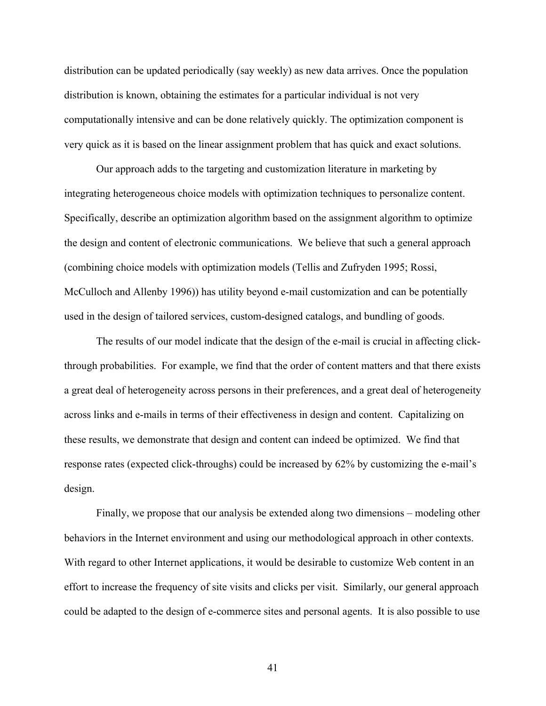distribution can be updated periodically (say weekly) as new data arrives. Once the population distribution is known, obtaining the estimates for a particular individual is not very computationally intensive and can be done relatively quickly. The optimization component is very quick as it is based on the linear assignment problem that has quick and exact solutions.

 Our approach adds to the targeting and customization literature in marketing by integrating heterogeneous choice models with optimization techniques to personalize content. Specifically, describe an optimization algorithm based on the assignment algorithm to optimize the design and content of electronic communications. We believe that such a general approach (combining choice models with optimization models (Tellis and Zufryden 1995; Rossi, McCulloch and Allenby 1996)) has utility beyond e-mail customization and can be potentially used in the design of tailored services, custom-designed catalogs, and bundling of goods.

 The results of our model indicate that the design of the e-mail is crucial in affecting clickthrough probabilities. For example, we find that the order of content matters and that there exists a great deal of heterogeneity across persons in their preferences, and a great deal of heterogeneity across links and e-mails in terms of their effectiveness in design and content. Capitalizing on these results, we demonstrate that design and content can indeed be optimized. We find that response rates (expected click-throughs) could be increased by 62% by customizing the e-mail's design.

 Finally, we propose that our analysis be extended along two dimensions – modeling other behaviors in the Internet environment and using our methodological approach in other contexts. With regard to other Internet applications, it would be desirable to customize Web content in an effort to increase the frequency of site visits and clicks per visit. Similarly, our general approach could be adapted to the design of e-commerce sites and personal agents. It is also possible to use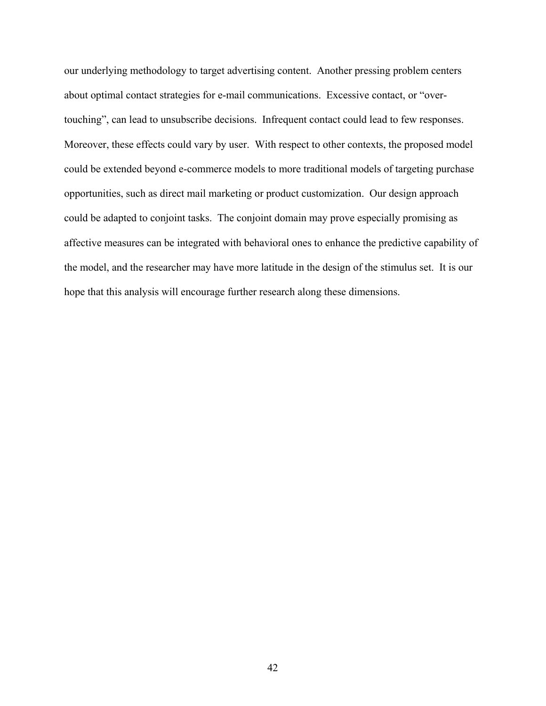our underlying methodology to target advertising content. Another pressing problem centers about optimal contact strategies for e-mail communications. Excessive contact, or "overtouching", can lead to unsubscribe decisions. Infrequent contact could lead to few responses. Moreover, these effects could vary by user. With respect to other contexts, the proposed model could be extended beyond e-commerce models to more traditional models of targeting purchase opportunities, such as direct mail marketing or product customization. Our design approach could be adapted to conjoint tasks. The conjoint domain may prove especially promising as affective measures can be integrated with behavioral ones to enhance the predictive capability of the model, and the researcher may have more latitude in the design of the stimulus set. It is our hope that this analysis will encourage further research along these dimensions.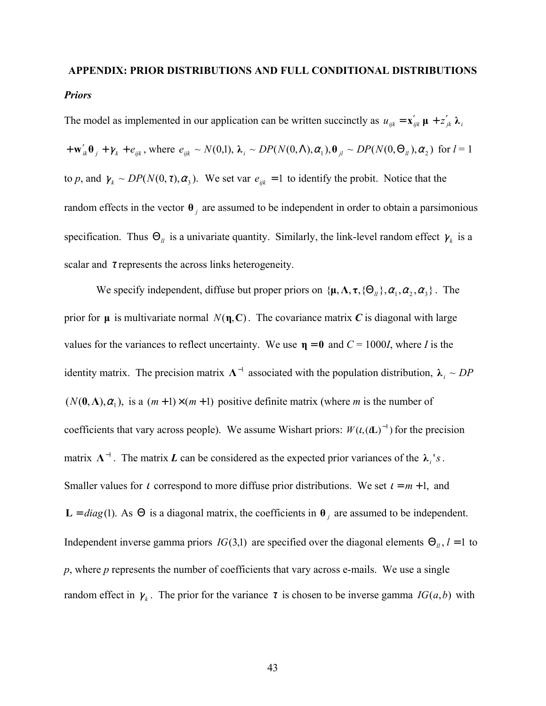# **APPENDIX: PRIOR DISTRIBUTIONS AND FULL CONDITIONAL DISTRIBUTIONS**  *Priors*

The model as implemented in our application can be written succinctly as  $u_{ijk} = \mathbf{x}'_{ijk} \mathbf{\mu} + z'_{jk} \mathbf{\lambda}_i$  $+\mathbf{w}'_{ik}\mathbf{\theta}_j + \gamma_k + e_{ijk}$ , where  $e_{ijk} \sim N(0,1)$ ,  $\lambda_i \sim DP(N(0,\Lambda),\alpha_1), \mathbf{\theta}_{jl} \sim DP(N(0,\Theta_{il}),\alpha_2)$  for  $l=1$ to *p*, and  $\gamma_k \sim DP(N(0, \tau), \alpha_3)$ . We set var  $e_{ijk} = 1$  to identify the probit. Notice that the random effects in the vector  $\theta$  *j* are assumed to be independent in order to obtain a parsimonious specification. Thus  $\Theta_{ll}$  is a univariate quantity. Similarly, the link-level random effect  $\gamma_{k}$  is a scalar and  $\tau$  represents the across links heterogeneity.

We specify independent, diffuse but proper priors on  $\{\mu, \Lambda, \tau, \{\Theta_{\mu}\}, \alpha_1, \alpha_2, \alpha_3\}$ . The prior for  $\mu$  is multivariate normal  $N(\eta, \mathbf{C})$ . The covariance matrix *C* is diagonal with large values for the variances to reflect uncertainty. We use  $\eta = 0$  and  $C = 1000$ *I*, where *I* is the identity matrix. The precision matrix  $\Lambda^{-1}$  associated with the population distribution,  $\lambda_i \sim DP$  $(N(0, \Lambda), \alpha_1)$ , is a  $(m+1) \times (m+1)$  positive definite matrix (where *m* is the number of coefficients that vary across people). We assume Wishart priors:  $W(t, (tL)^{-1})$  for the precision matrix  $\Lambda^{-1}$ . The matrix *L* can be considered as the expected prior variances of the  $\lambda_i$ 's. Smaller values for *t* correspond to more diffuse prior distributions. We set  $i = m + 1$ , and **L** = *diag*(1). As Θ is a diagonal matrix, the coefficients in  $θ$ <sub>*j*</sub> are assumed to be independent. Independent inverse gamma priors *IG*(3,1) are specified over the diagonal elements  $\Theta_{ll}$ ,  $l = 1$  to *p*, where *p* represents the number of coefficients that vary across e-mails. We use a single random effect in  $\gamma_k$ . The prior for the variance  $\tau$  is chosen to be inverse gamma *IG(a,b)* with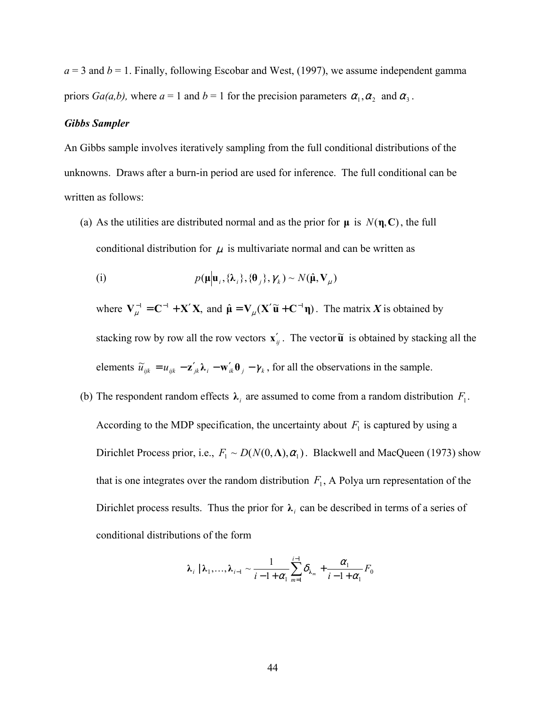$a = 3$  and  $b = 1$ . Finally, following Escobar and West, (1997), we assume independent gamma priors *Ga(a,b)*, where  $a = 1$  and  $b = 1$  for the precision parameters  $\alpha_1, \alpha_2$  and  $\alpha_3$ .

### *Gibbs Sampler*

An Gibbs sample involves iteratively sampling from the full conditional distributions of the unknowns. Draws after a burn-in period are used for inference. The full conditional can be written as follows:

(a) As the utilities are distributed normal and as the prior for  $\mu$  is  $N(\eta, \mathbf{C})$ , the full conditional distribution for  $\mu$  is multivariate normal and can be written as

(i) 
$$
p(\boldsymbol{\mu}|\boldsymbol{u}_i,\{\boldsymbol{\lambda}_i\},\{\boldsymbol{\theta}_j\},\boldsymbol{\gamma}_k) \sim N(\hat{\boldsymbol{\mu}},\mathbf{V}_{\mu})
$$

where  $V_{\mu}^{-1} = C^{-1} + X'X$ , and  $\hat{\mu} = V_{\mu}(X'\tilde{u} + C^{-1}\eta)$ . The matrix X is obtained by stacking row by row all the row vectors  $\mathbf{x}'_j$ . The vector  $\widetilde{\mathbf{u}}$  is obtained by stacking all the elements  $\tilde{u}_{ijk} = u_{ijk} - \mathbf{z}'_{jk}\mathbf{\lambda}_i - \mathbf{w}'_{ik}\mathbf{\theta}_j - \gamma_k$ , for all the observations in the sample.

(b) The respondent random effects  $\lambda_i$  are assumed to come from a random distribution  $F_1$ . According to the MDP specification, the uncertainty about  $F_1$  is captured by using a Dirichlet Process prior, i.e.,  $F_1 \sim D(N(0,\Lambda), \alpha_1)$ . Blackwell and MacQueen (1973) show that is one integrates over the random distribution  $F_1$ , A Polya urn representation of the Dirichlet process results. Thus the prior for  $\lambda_i$  can be described in terms of a series of conditional distributions of the form

$$
\lambda_i \mid \lambda_1, \ldots, \lambda_{i-1} \sim \frac{1}{i-1+\alpha_1} \sum_{m=1}^{i-1} \delta_{\lambda_m} + \frac{\alpha_1}{i-1+\alpha_1} F_0
$$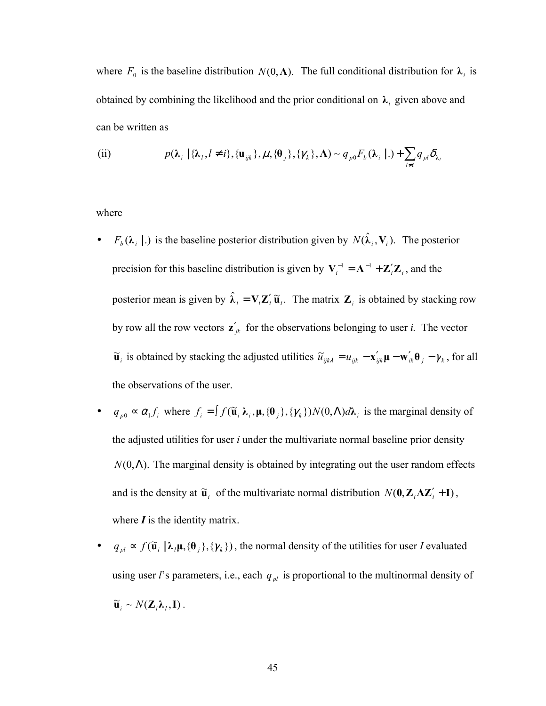where  $F_0$  is the baseline distribution  $N(0, \Lambda)$ . The full conditional distribution for  $\lambda_i$  is obtained by combining the likelihood and the prior conditional on  $\lambda_i$  given above and can be written as

(ii) 
$$
p(\lambda_i | {\lambda_l, l \neq i}, {\mathbf{u}_{ijk}, \mu, {\theta_j}, {\gamma_k}, \Lambda) \sim q_{p0} F_b(\lambda_i | .) + \sum_{l \neq i} q_{pl} \delta_{\lambda_l}
$$

where

- $F_b(\lambda_i | .)$  is the baseline posterior distribution given by  $N(\hat{\lambda}_i, \mathbf{V}_i)$ . The posterior precision for this baseline distribution is given by  $V_i^{-1} = \Lambda^{-1} + \mathbb{Z}_i' \mathbb{Z}_i$ , and the posterior mean is given by  $\hat{\lambda}_i = V_i Z_i' \tilde{u}_i$ . The matrix  $Z_i$  is obtained by stacking row by row all the row vectors  $\mathbf{z}'_{ik}$  for the observations belonging to user *i*. The vector  $\tilde{u}_i$  is obtained by stacking the adjusted utilities  $\tilde{u}_{ijk\lambda} = u_{ijk} - \mathbf{x}'_{ijk} \mathbf{\mu} - \mathbf{w}'_{ik} \mathbf{\theta}_j - \gamma_k$ , for all the observations of the user.
- $q_{p0} \propto \alpha_1 f_i$ , where  $f_i = \int f(\tilde{\mathbf{u}}_i \lambda_i, \mu, {\theta_j}, {\gamma_k}) N(0, \Lambda) d\lambda_i$  is the marginal density of the adjusted utilities for user *i* under the multivariate normal baseline prior density  $N(0, \Lambda)$ . The marginal density is obtained by integrating out the user random effects and is the density at  $\tilde{\mathbf{u}}_i$  of the multivariate normal distribution  $N(\mathbf{0}, \mathbf{Z}_i \Lambda \mathbf{Z}_i' + \mathbf{I})$ , where  $\boldsymbol{I}$  is the identity matrix.
- $\bullet$  *q*<sub>*pl</sub>* ≈ *f*( $\tilde{u}$ <sub>*i*</sub> |  $\lambda$ <sub>*l*</sub> $\mu$ , { $\theta$ <sub>*j*</sub>}, { $\gamma$ <sub>*k*</sub>}), the normal density of the utilities for user *I* evaluated</sub> using user *l*'s parameters, i.e., each  $q_{pl}$  is proportional to the multinormal density of  $\widetilde{\mathbf{u}}_i \sim N(\mathbf{Z}_i \boldsymbol{\lambda}_l, \mathbf{I}).$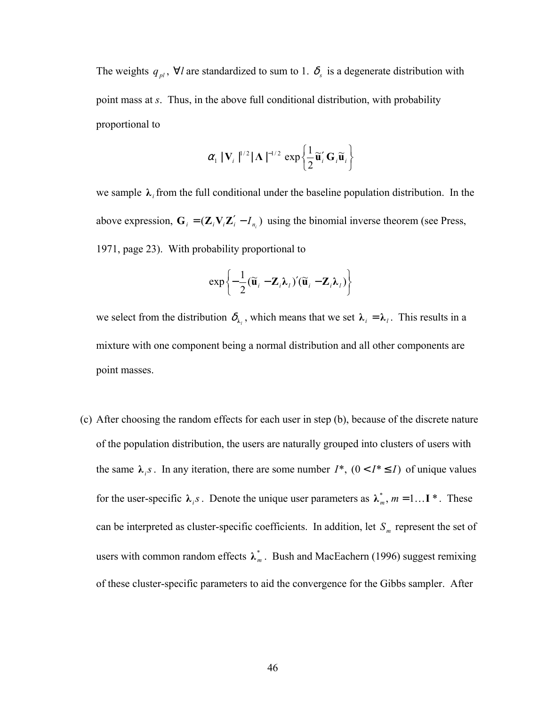The weights  $q_{pl}$ ,  $\forall l$  are standardized to sum to 1.  $\delta_s$  is a degenerate distribution with point mass at *s*. Thus, in the above full conditional distribution, with probability proportional to

$$
\alpha_1 \left| \mathbf{V}_i \right|^{1/2} |\mathbf{\Lambda}|^{-1/2} \exp \left\{ \frac{1}{2} \widetilde{\mathbf{u}}_i^{\prime} \mathbf{G}_i \widetilde{\mathbf{u}}_i \right\}
$$

we sample  $\lambda_i$  from the full conditional under the baseline population distribution. In the above expression,  $G_i = (\mathbf{Z}_i \mathbf{V}_i \mathbf{Z}'_i - I_{n_i})$  using the binomial inverse theorem (see Press, 1971, page 23). With probability proportional to

$$
\exp\left\{-\frac{1}{2}(\widetilde{\mathbf{u}}_i-\mathbf{Z}_i\boldsymbol{\lambda}_i)'(\widetilde{\mathbf{u}}_i-\mathbf{Z}_i\boldsymbol{\lambda}_i)\right\}
$$

we select from the distribution  $\delta_{\lambda_i}$ , which means that we set  $\lambda_i = \lambda_i$ . This results in a mixture with one component being a normal distribution and all other components are point masses.

(c) After choosing the random effects for each user in step (b), because of the discrete nature of the population distribution, the users are naturally grouped into clusters of users with the same  $\lambda_i$  *s*. In any iteration, there are some number  $I^*$ ,  $(0 < I^* \le I)$  of unique values for the user-specific  $\lambda_i s$ . Denote the unique user parameters as  $\lambda_m^*$ ,  $m = 1...$  **Figure**. These can be interpreted as cluster-specific coefficients. In addition, let  $S_m$  represent the set of users with common random effects  $\lambda_m^*$ . Bush and MacEachern (1996) suggest remixing of these cluster-specific parameters to aid the convergence for the Gibbs sampler. After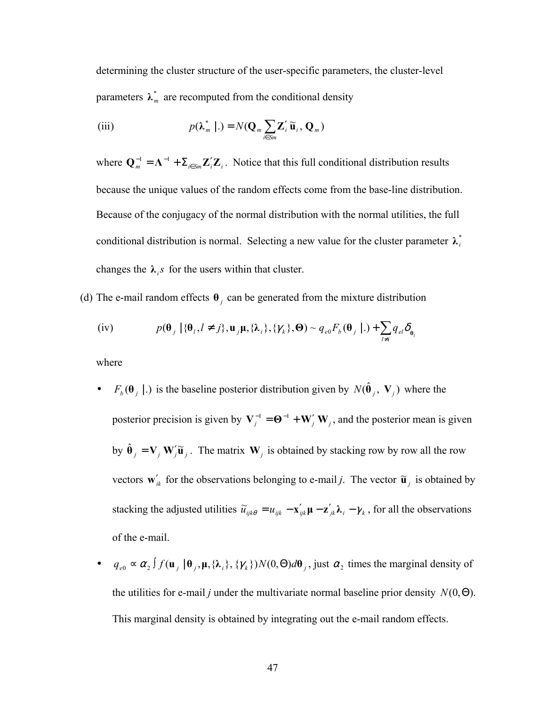determining the cluster structure of the user-specific parameters, the cluster-level parameters  $\lambda_m^*$  are recomputed from the conditional density

(iii) 
$$
p(\lambda_m^* | .) = N(\mathbf{Q}_m \sum_{i \in S_m} \mathbf{Z}_i' \widetilde{\mathbf{u}}_i, \mathbf{Q}_m)
$$

where  $\mathbf{Q}_m^{-1} = \mathbf{\Lambda}^{-1} + \sum_{i \in S_m} \mathbf{Z}_i' \mathbf{Z}_i$ . Notice that this full conditional distribution results because the unique values of the random effects come from the base-line distribution. Because of the conjugacy of the normal distribution with the normal utilities, the full conditional distribution is normal. Selecting a new value for the cluster parameter  $\lambda_i^*$ changes the  $\lambda_i$  for the users within that cluster.

(d) The e-mail random effects  $\theta$  *j* can be generated from the mixture distribution

$$
\text{(iv)} \qquad p(\boldsymbol{\theta}_j \mid \{\boldsymbol{\theta}_l, l \neq j\}, \mathbf{u}_j \mathbf{\mu}, \{\lambda_i\}, \{\gamma_k\}, \boldsymbol{\Theta}) \sim q_{e0} F_b(\boldsymbol{\theta}_j \mid .) + \sum_{l \neq i} q_{el} \delta_{\boldsymbol{\theta}_l}
$$

where

- $F_b(\theta_j | .)$  is the baseline posterior distribution given by  $N(\hat{\theta}_j, V_j)$  where the posterior precision is given by  $V_j^{-1} = \mathbf{\Theta}^{-1} + \mathbf{W}'_j \mathbf{W}_j$ , and the posterior mean is given by  $\hat{\mathbf{\theta}}_j = \mathbf{V}_j \mathbf{W}_j' \tilde{\mathbf{u}}_j$ . The matrix  $\mathbf{W}_j$  is obtained by stacking row by row all the row vectors  $\mathbf{w}'_k$  for the observations belonging to e-mail *j*. The vector  $\tilde{\mathbf{u}}_j$  is obtained by stacking the adjusted utilities  $\tilde{u}_{ijk\theta} = u_{ijk} - \mathbf{x}'_{ijk}\mathbf{\mu} - \mathbf{z}'_{jk}\mathbf{\lambda}_i - \gamma_k$ , for all the observations of the e-mail.
- $q_{e0} \propto \alpha_2 \int f(\mathbf{u}_j \mid \mathbf{\theta}_j, \mathbf{\mu}, \{\lambda_i\}, \{\gamma_k\}) N(0, \Theta) d\mathbf{\theta}_j$ , just  $\alpha_2$  times the marginal density of the utilities for e-mail *j* under the multivariate normal baseline prior density  $N(0,\Theta)$ . This marginal density is obtained by integrating out the e-mail random effects.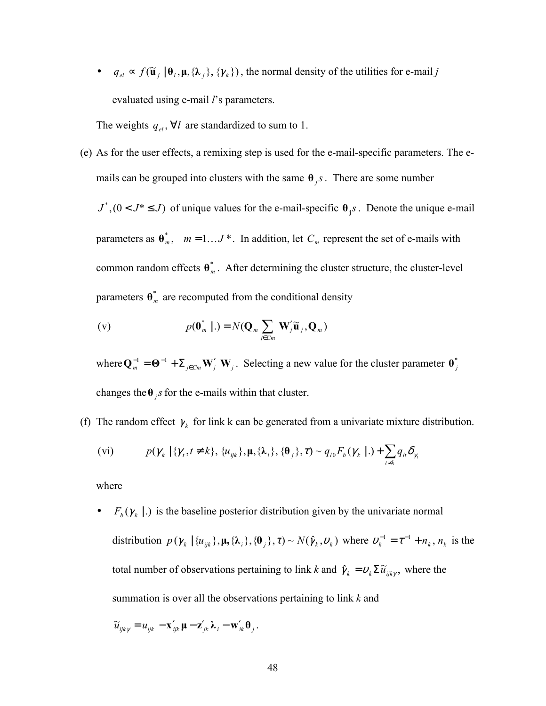$\bullet$  *q*<sub>*el*</sub> ≈  $f(\tilde{\mathbf{u}}_j | \mathbf{0}_l, \mathbf{\mu}, {\lambda}_j, {\gamma_k})$ , the normal density of the utilities for e-mail *j* evaluated using e-mail *l*'s parameters.

The weights  $q_{el}$ ,  $\forall l$  are standardized to sum to 1.

(e) As for the user effects, a remixing step is used for the e-mail-specific parameters. The emails can be grouped into clusters with the same  $\theta_i$  *s*. There are some number

 $J^*$ ,  $(0 < J^* \leq J)$  of unique values for the e-mail-specific  $\theta_j s$ . Denote the unique e-mail parameters as  $\theta_m^*$ ,  $m = 1...J^*$ . In addition, let  $C_m$  represent the set of e-mails with common random effects  $\theta^*$ . After determining the cluster structure, the cluster-level parameters  $\mathbf{\theta}_{m}^{*}$  are recomputed from the conditional density

$$
\text{(v)} \qquad \qquad p(\boldsymbol{\theta}_{m}^{*} \mid .) = N(\mathbf{Q}_{m} \sum_{j \in Cm} \mathbf{W}_{j}^{\prime} \widetilde{\mathbf{u}}_{j}, \mathbf{Q}_{m})
$$

where  $Q_m^{-1} = \mathbf{\Theta}^{-1} + \sum_{j \in C_m} \mathbf{W}'_j \mathbf{W}_j$ . Selecting a new value for the cluster parameter  $\mathbf{\theta}^*_j$ changes the  $\theta$  *<sub>i</sub>s* for the e-mails within that cluster.

(f) The random effect  $\gamma_k$  for link k can be generated from a univariate mixture distribution.

$$
\text{(vi)} \qquad \qquad p(\gamma_k \mid \{ \gamma_t, t \neq k \}, \, \{ u_{ijk} \}, \, \mu, \{ \lambda_i \}, \, \{ \theta_j \}, \tau) \sim q_{10} F_b(\gamma_k \mid .) + \sum_{t \neq k} q_{lt} \delta_{\gamma_t}
$$

where

•  $F_b(\gamma_k | .)$  is the baseline posterior distribution given by the univariate normal distribution  $p(\gamma_k | \{u_{ijk}\}, \mu, \{\lambda_i\}, \{\theta_j\}, \tau) \sim N(\hat{\gamma}_k, \nu_k)$  where  $\nu_k^{-1} = \tau^{-1} + n_k, n_k$  is the total number of observations pertaining to link *k* and  $\hat{\gamma}_k = v_k \Sigma \tilde{u}_{ijk\gamma}$ , where the summation is over all the observations pertaining to link *k* and

$$
\widetilde{u}_{ijk\gamma} = u_{ijk} - \mathbf{x}'_{ijk} \mathbf{\mu} - \mathbf{z}'_{jk} \mathbf{\lambda}_i - \mathbf{w}'_{ik} \mathbf{\theta}_j.
$$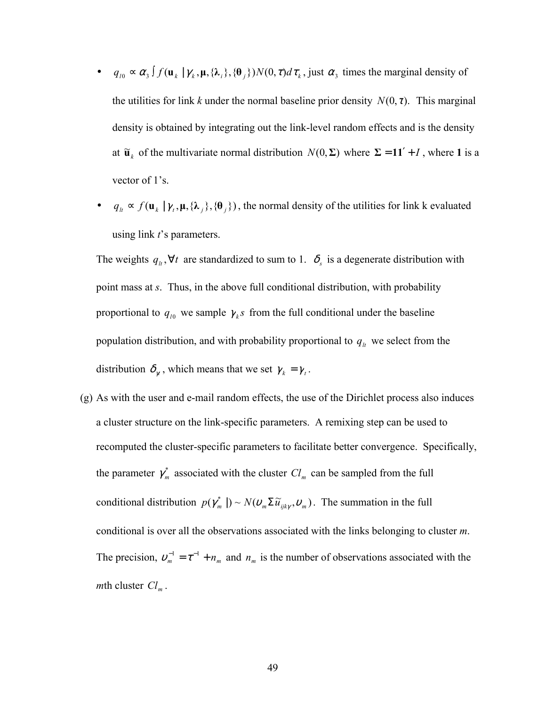- $q_{i0} \propto \alpha_3 \int f(\mathbf{u}_k | \gamma_k, \mathbf{\mu}, \{\lambda_i\}, \{\theta_i\}) N(0, \tau) d\tau_k$ , just  $\alpha_3$  times the marginal density of the utilities for link *k* under the normal baseline prior density  $N(0, \tau)$ . This marginal density is obtained by integrating out the link-level random effects and is the density at  $\tilde{\mathbf{u}}_k$  of the multivariate normal distribution  $N(0, \Sigma)$  where  $\Sigma = 11' + I$ , where 1 is a vector of 1's.
- $\bullet$  *q*<sub>*k*</sub>  $\propto$  *f*(**u**<sub>*k*</sub> | γ<sub>*t*</sub>, **µ**, {λ<sub>*j*</sub>}, {θ<sub>*j*</sub>}), the normal density of the utilities for link k evaluated using link *t*'s parameters.

The weights  $q_k, \forall t$  are standardized to sum to 1.  $\delta_s$  is a degenerate distribution with point mass at *s*. Thus, in the above full conditional distribution, with probability proportional to  $q_{i0}$  we sample  $\gamma_k s$  from the full conditional under the baseline population distribution, and with probability proportional to  $q_k$  we select from the distribution  $\delta_{\gamma}$ , which means that we set  $\gamma_k = \gamma_t$ .

(g) As with the user and e-mail random effects, the use of the Dirichlet process also induces a cluster structure on the link-specific parameters. A remixing step can be used to recomputed the cluster-specific parameters to facilitate better convergence. Specifically, the parameter  $\gamma_m^*$  associated with the cluster  $Cl_m$  can be sampled from the full conditional distribution  $p(\gamma_m^*) \sim N(\nu_m \Sigma \tilde{u}_{ijk\gamma}, v_m)$ . The summation in the full conditional is over all the observations associated with the links belonging to cluster *m*. The precision,  $v_m^{-1} = \tau^{-1} + n_m$  and  $n_m$  is the number of observations associated with the *m*th cluster  $Cl_m$ .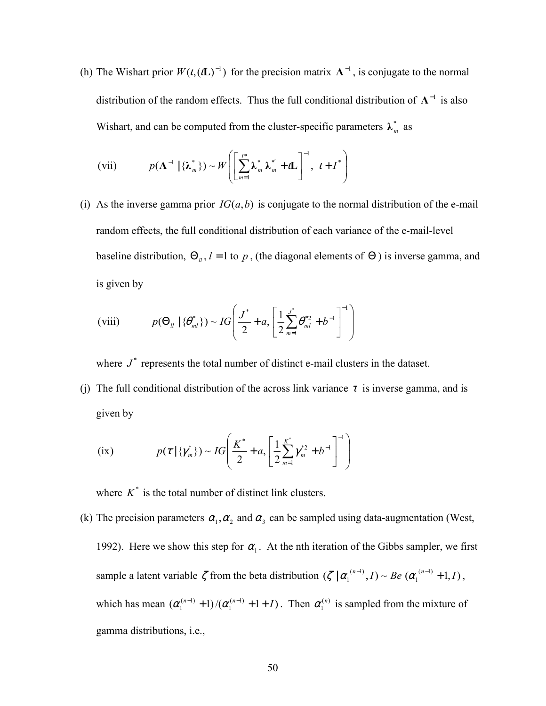(h) The Wishart prior  $W(t, (tL)^{-1})$  for the precision matrix  $\Lambda^{-1}$ , is conjugate to the normal distribution of the random effects. Thus the full conditional distribution of  $\Lambda$ <sup>-1</sup> is also Wishart, and can be computed from the cluster-specific parameters  $\lambda_m^*$  as

(vii) 
$$
p(\mathbf{\Lambda}^{-1} | \{\boldsymbol{\lambda}_m^*\}) \sim W \left( \left[ \sum_{m=1}^I \boldsymbol{\lambda}_m^* \boldsymbol{\lambda}_m^{*'} + \boldsymbol{i} \mathbf{L} \right]^{-1}, \ \boldsymbol{i} + \boldsymbol{I}^* \right)
$$

(i) As the inverse gamma prior  $IG(a, b)$  is conjugate to the normal distribution of the e-mail random effects, the full conditional distribution of each variance of the e-mail-level baseline distribution,  $\Theta_{ll}$ ,  $l = 1$  to  $p$ , (the diagonal elements of  $\Theta$ ) is inverse gamma, and is given by

(viii) 
$$
p(\Theta_{ll} | {\theta}_{ml}^*) \sim IG \left( \frac{J^*}{2} + a, \left[ \frac{1}{2} \sum_{m=1}^{J^*} \theta_{ml}^{*2} + b^{-1} \right]^{-1} \right)
$$

where  $J^*$  represents the total number of distinct e-mail clusters in the dataset.

(i) The full conditional distribution of the across link variance  $\tau$  is inverse gamma, and is given by

(ix) 
$$
p(\tau | {\gamma_m^*}) \sim IG\left(\frac{K^*}{2} + a, \left[\frac{1}{2}\sum_{m=1}^{K^*} \gamma_m^{*2} + b^{-1}\right]^{-1}\right)
$$

where  $K^*$  is the total number of distinct link clusters.

(k) The precision parameters  $\alpha_1, \alpha_2$  and  $\alpha_3$  can be sampled using data-augmentation (West, 1992). Here we show this step for  $\alpha_1$ . At the nth iteration of the Gibbs sampler, we first sample a latent variable  $\zeta$  from the beta distribution  $(\zeta | \alpha_1^{(n-1)}, I) \sim Be(\alpha_1^{(n-1)} + 1, I)$  $\zeta$  |  $\alpha_1^{(n-1)}$ , I) ~ Be  $(\alpha_1^{(n-1)} + 1, I)$ , which has mean  $(\alpha_1^{(n-1)} + 1)/(\alpha_1^{(n-1)} + 1 + I)$  $\alpha_1^{(n-1)}$  + 1)/ $(\alpha_1^{(n-1)}$  + 1 + *I*). Then  $\alpha_1^{(n)}$  is sampled from the mixture of gamma distributions, i.e.,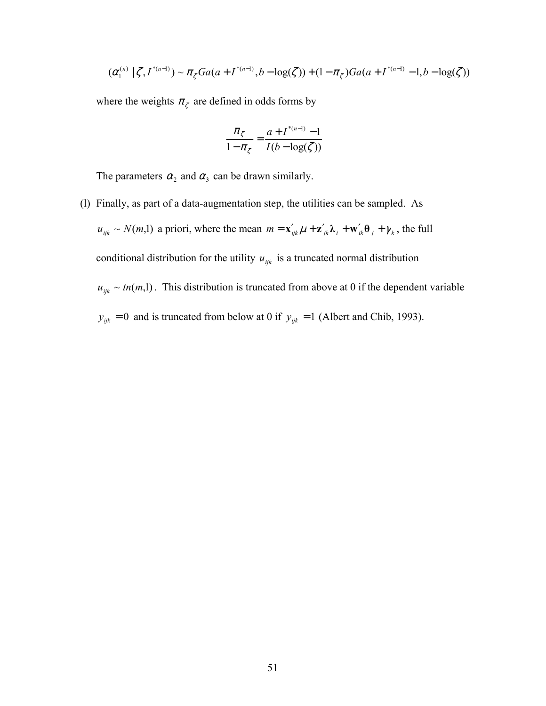$$
(\alpha_1^{(n)} \mid \zeta, I^{*(n-1)}) \sim \pi_{\zeta} Ga(a + I^{*(n-1)}, b - \log(\zeta)) + (1 - \pi_{\zeta})Ga(a + I^{*(n-1)} - 1, b - \log(\zeta))
$$

where the weights  $\pi_{\zeta}$  are defined in odds forms by

$$
\frac{\pi_{\zeta}}{1-\pi_{\zeta}} = \frac{a + I^{*(n-1)} - 1}{I(b - \log(\zeta))}
$$

The parameters  $\alpha_2$  and  $\alpha_3$  can be drawn similarly.

(l) Finally, as part of a data-augmentation step, the utilities can be sampled. As  $u_{ijk} \sim N(m,1)$  a priori, where the mean  $m = \mathbf{x}'_{ijk} \mu + \mathbf{z}'_{jk} \lambda_i + \mathbf{w}'_{ik} \theta_j + \gamma_k$ , the full conditional distribution for the utility  $u_{ijk}$  is a truncated normal distribution  $u_{ijk} \sim tn(m,1)$ . This distribution is truncated from above at 0 if the dependent variable  $y_{ijk} = 0$  and is truncated from below at 0 if  $y_{ijk} = 1$  (Albert and Chib, 1993).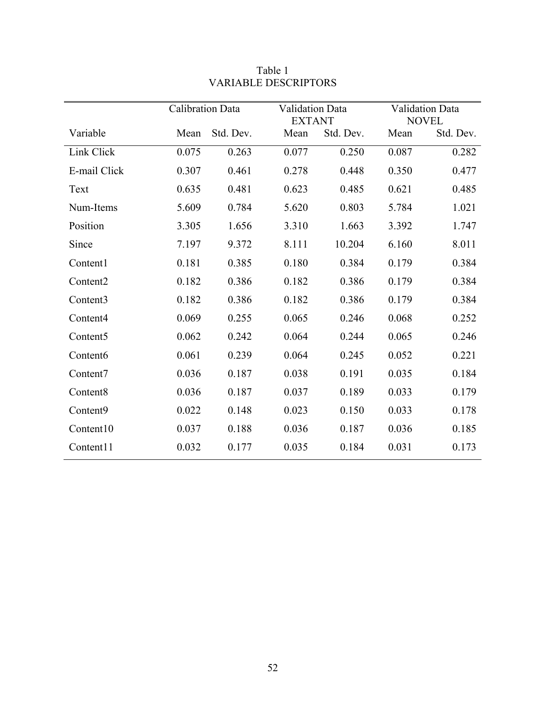|                      | Calibration Data |           | <b>Validation Data</b><br><b>EXTANT</b> |           | <b>Validation Data</b><br><b>NOVEL</b> |           |
|----------------------|------------------|-----------|-----------------------------------------|-----------|----------------------------------------|-----------|
| Variable             | Mean             | Std. Dev. | Mean                                    | Std. Dev. | Mean                                   | Std. Dev. |
| Link Click           | 0.075            | 0.263     | 0.077                                   | 0.250     | 0.087                                  | 0.282     |
| E-mail Click         | 0.307            | 0.461     | 0.278                                   | 0.448     | 0.350                                  | 0.477     |
| Text                 | 0.635            | 0.481     | 0.623                                   | 0.485     | 0.621                                  | 0.485     |
| Num-Items            | 5.609            | 0.784     | 5.620                                   | 0.803     | 5.784                                  | 1.021     |
| Position             | 3.305            | 1.656     | 3.310                                   | 1.663     | 3.392                                  | 1.747     |
| Since                | 7.197            | 9.372     | 8.111                                   | 10.204    | 6.160                                  | 8.011     |
| Content1             | 0.181            | 0.385     | 0.180                                   | 0.384     | 0.179                                  | 0.384     |
| Content <sub>2</sub> | 0.182            | 0.386     | 0.182                                   | 0.386     | 0.179                                  | 0.384     |
| Content3             | 0.182            | 0.386     | 0.182                                   | 0.386     | 0.179                                  | 0.384     |
| Content <sub>4</sub> | 0.069            | 0.255     | 0.065                                   | 0.246     | 0.068                                  | 0.252     |
| Content <sub>5</sub> | 0.062            | 0.242     | 0.064                                   | 0.244     | 0.065                                  | 0.246     |
| Content <sub>6</sub> | 0.061            | 0.239     | 0.064                                   | 0.245     | 0.052                                  | 0.221     |
| Content7             | 0.036            | 0.187     | 0.038                                   | 0.191     | 0.035                                  | 0.184     |
| Content8             | 0.036            | 0.187     | 0.037                                   | 0.189     | 0.033                                  | 0.179     |
| Content9             | 0.022            | 0.148     | 0.023                                   | 0.150     | 0.033                                  | 0.178     |
| Content10            | 0.037            | 0.188     | 0.036                                   | 0.187     | 0.036                                  | 0.185     |
| Content11            | 0.032            | 0.177     | 0.035                                   | 0.184     | 0.031                                  | 0.173     |

## Table 1 VARIABLE DESCRIPTORS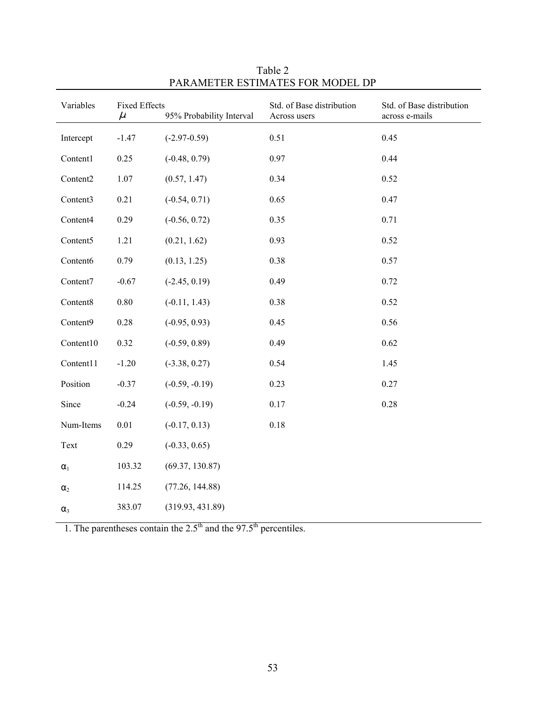| Variables    | <b>Fixed Effects</b><br>$\mu$ | 95% Probability Interval | Std. of Base distribution<br>Across users | Std. of Base distribution<br>across e-mails |
|--------------|-------------------------------|--------------------------|-------------------------------------------|---------------------------------------------|
| Intercept    | $-1.47$                       | $(-2.97-0.59)$           | 0.51                                      | 0.45                                        |
| Content1     | 0.25                          | $(-0.48, 0.79)$          | 0.97                                      | 0.44                                        |
| Content2     | 1.07                          | (0.57, 1.47)             | 0.34                                      | 0.52                                        |
| Content3     | 0.21                          | $(-0.54, 0.71)$          | 0.65                                      | 0.47                                        |
| Content4     | 0.29                          | $(-0.56, 0.72)$          | 0.35                                      | 0.71                                        |
| Content5     | 1.21                          | (0.21, 1.62)             | 0.93                                      | 0.52                                        |
| Content6     | 0.79                          | (0.13, 1.25)             | 0.38                                      | 0.57                                        |
| Content7     | $-0.67$                       | $(-2.45, 0.19)$          | 0.49                                      | 0.72                                        |
| Content8     | $0.80\,$                      | $(-0.11, 1.43)$          | 0.38                                      | 0.52                                        |
| Content9     | $0.28\,$                      | $(-0.95, 0.93)$          | 0.45                                      | 0.56                                        |
| Content10    | 0.32                          | $(-0.59, 0.89)$          | 0.49                                      | 0.62                                        |
| Content11    | $-1.20$                       | $(-3.38, 0.27)$          | 0.54                                      | 1.45                                        |
| Position     | $-0.37$                       | $(-0.59, -0.19)$         | 0.23                                      | 0.27                                        |
| Since        | $-0.24$                       | $(-0.59, -0.19)$         | 0.17                                      | 0.28                                        |
| Num-Items    | $0.01\,$                      | $(-0.17, 0.13)$          | 0.18                                      |                                             |
| Text         | 0.29                          | $(-0.33, 0.65)$          |                                           |                                             |
| $\alpha_{1}$ | 103.32                        | (69.37, 130.87)          |                                           |                                             |
| $\alpha_2$   | 114.25                        | (77.26, 144.88)          |                                           |                                             |
| $\alpha_3$   | 383.07                        | (319.93, 431.89)         |                                           |                                             |

Table 2 PARAMETER ESTIMATES FOR MODEL DP

1. The parentheses contain the  $2.5<sup>th</sup>$  and the 97.5<sup>th</sup> percentiles.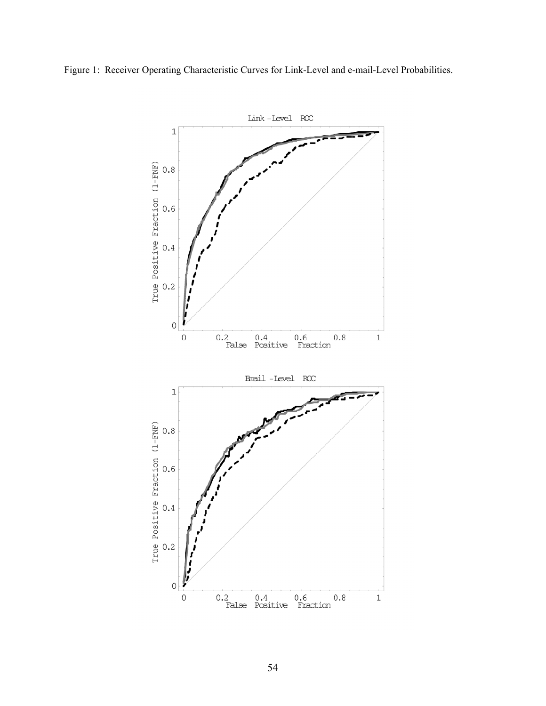

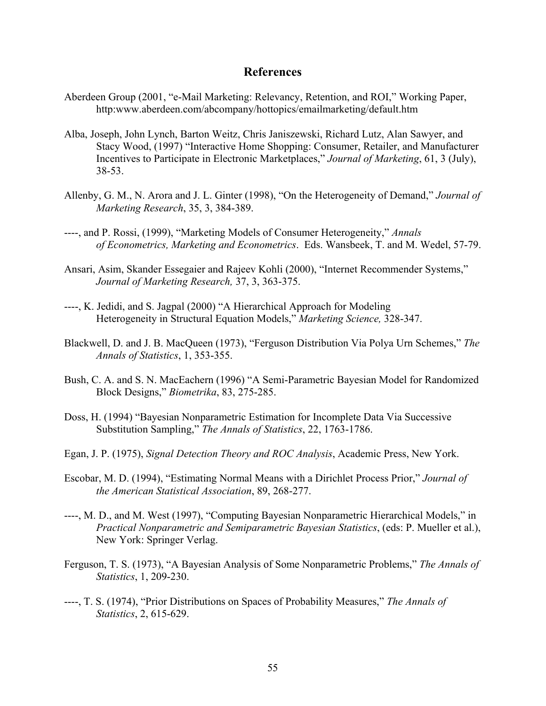## **References**

- Aberdeen Group (2001, "e-Mail Marketing: Relevancy, Retention, and ROI," Working Paper, http:www.aberdeen.com/abcompany/hottopics/emailmarketing/default.htm
- Alba, Joseph, John Lynch, Barton Weitz, Chris Janiszewski, Richard Lutz, Alan Sawyer, and Stacy Wood, (1997) "Interactive Home Shopping: Consumer, Retailer, and Manufacturer Incentives to Participate in Electronic Marketplaces," *Journal of Marketing*, 61, 3 (July), 38-53.
- Allenby, G. M., N. Arora and J. L. Ginter (1998), "On the Heterogeneity of Demand," *Journal of Marketing Research*, 35, 3, 384-389.
- ----, and P. Rossi, (1999), "Marketing Models of Consumer Heterogeneity," *Annals of Econometrics, Marketing and Econometrics*. Eds. Wansbeek, T. and M. Wedel, 57-79.
- Ansari, Asim, Skander Essegaier and Rajeev Kohli (2000), "Internet Recommender Systems," *Journal of Marketing Research,* 37, 3, 363-375.
- ----, K. Jedidi, and S. Jagpal (2000) "A Hierarchical Approach for Modeling Heterogeneity in Structural Equation Models," *Marketing Science,* 328-347.
- Blackwell, D. and J. B. MacQueen (1973), "Ferguson Distribution Via Polya Urn Schemes," *The Annals of Statistics*, 1, 353-355.
- Bush, C. A. and S. N. MacEachern (1996) "A Semi-Parametric Bayesian Model for Randomized Block Designs," *Biometrika*, 83, 275-285.
- Doss, H. (1994) "Bayesian Nonparametric Estimation for Incomplete Data Via Successive Substitution Sampling," *The Annals of Statistics*, 22, 1763-1786.
- Egan, J. P. (1975), *Signal Detection Theory and ROC Analysis*, Academic Press, New York.
- Escobar, M. D. (1994), "Estimating Normal Means with a Dirichlet Process Prior," *Journal of the American Statistical Association*, 89, 268-277.
- ----, M. D., and M. West (1997), "Computing Bayesian Nonparametric Hierarchical Models," in *Practical Nonparametric and Semiparametric Bayesian Statistics*, (eds: P. Mueller et al.), New York: Springer Verlag.
- Ferguson, T. S. (1973), "A Bayesian Analysis of Some Nonparametric Problems," *The Annals of Statistics*, 1, 209-230.
- ----, T. S. (1974), "Prior Distributions on Spaces of Probability Measures," *The Annals of Statistics*, 2, 615-629.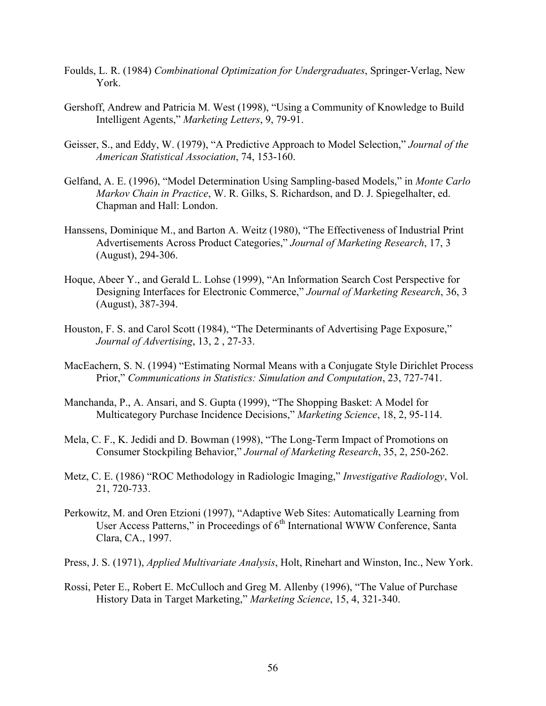- Foulds, L. R. (1984) *Combinational Optimization for Undergraduates*, Springer-Verlag, New York.
- Gershoff, Andrew and Patricia M. West (1998), "Using a Community of Knowledge to Build Intelligent Agents," *Marketing Letters*, 9, 79-91.
- Geisser, S., and Eddy, W. (1979), "A Predictive Approach to Model Selection," *Journal of the American Statistical Association*, 74, 153-160.
- Gelfand, A. E. (1996), "Model Determination Using Sampling-based Models," in *Monte Carlo Markov Chain in Practice*, W. R. Gilks, S. Richardson, and D. J. Spiegelhalter, ed. Chapman and Hall: London.
- Hanssens, Dominique M., and Barton A. Weitz (1980), "The Effectiveness of Industrial Print Advertisements Across Product Categories," *Journal of Marketing Research*, 17, 3 (August), 294-306.
- Hoque, Abeer Y., and Gerald L. Lohse (1999), "An Information Search Cost Perspective for Designing Interfaces for Electronic Commerce," *Journal of Marketing Research*, 36, 3 (August), 387-394.
- Houston, F. S. and Carol Scott (1984), "The Determinants of Advertising Page Exposure," *Journal of Advertising*, 13, 2 , 27-33.
- MacEachern, S. N. (1994) "Estimating Normal Means with a Conjugate Style Dirichlet Process Prior," *Communications in Statistics: Simulation and Computation*, 23, 727-741.
- Manchanda, P., A. Ansari, and S. Gupta (1999), "The Shopping Basket: A Model for Multicategory Purchase Incidence Decisions," *Marketing Science*, 18, 2, 95-114.
- Mela, C. F., K. Jedidi and D. Bowman (1998), "The Long-Term Impact of Promotions on Consumer Stockpiling Behavior," *Journal of Marketing Research*, 35, 2, 250-262.
- Metz, C. E. (1986) "ROC Methodology in Radiologic Imaging," *Investigative Radiology*, Vol. 21, 720-733.
- Perkowitz, M. and Oren Etzioni (1997), "Adaptive Web Sites: Automatically Learning from User Access Patterns," in Proceedings of  $6<sup>th</sup>$  International WWW Conference, Santa Clara, CA., 1997.
- Press, J. S. (1971), *Applied Multivariate Analysis*, Holt, Rinehart and Winston, Inc., New York.
- Rossi, Peter E., Robert E. McCulloch and Greg M. Allenby (1996), "The Value of Purchase History Data in Target Marketing," *Marketing Science*, 15, 4, 321-340.